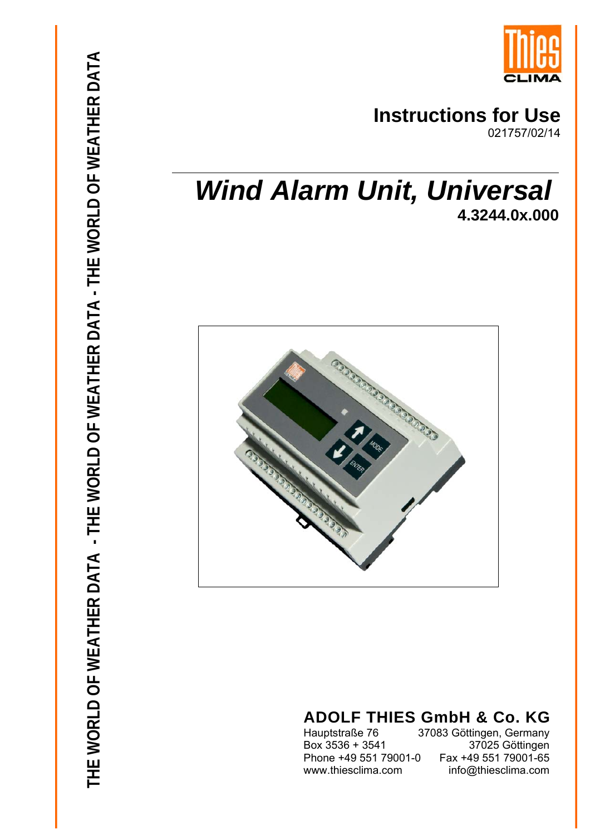

# **Instructions for Use**

021757/02/14

# *Wind Alarm Unit, Universal* **4.3244.0x.000**



# **ADOLF THIES GmbH & Co. KG**

Phone +49 551 79001-0

Hauptstraße 76 37083 Göttingen, Germany<br>Box 3536 + 3541 37025 Göttingen Box 3536 + 3541 37025 Göttingen www.thiesclima.com info@thiesclima.com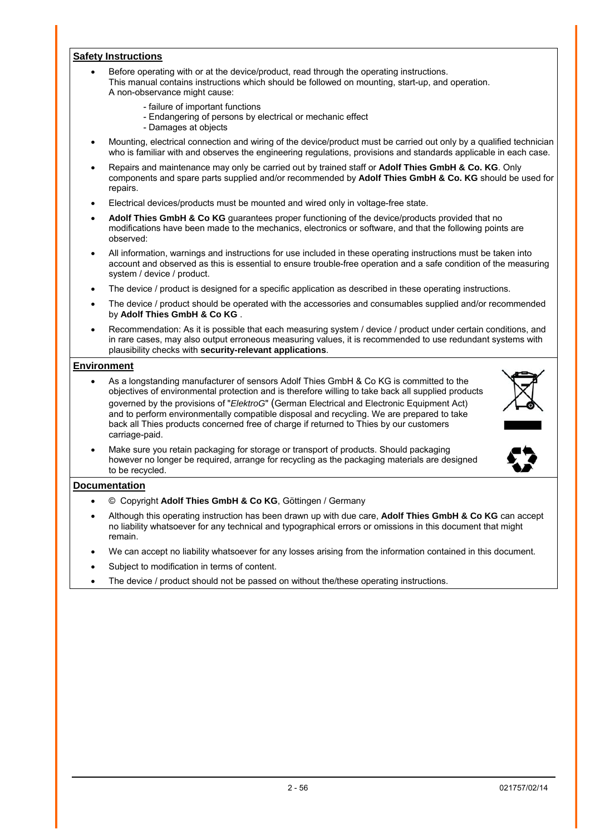#### **Safety Instructions**

- Before operating with or at the device/product, read through the operating instructions. This manual contains instructions which should be followed on mounting, start-up, and operation. A non-observance might cause:
	- failure of important functions
	- Endangering of persons by electrical or mechanic effect
	- Damages at objects
- Mounting, electrical connection and wiring of the device/product must be carried out only by a qualified technician who is familiar with and observes the engineering regulations, provisions and standards applicable in each case.
- Repairs and maintenance may only be carried out by trained staff or **Adolf Thies GmbH & Co. KG**. Only components and spare parts supplied and/or recommended by **Adolf Thies GmbH & Co. KG** should be used for repairs.
- Electrical devices/products must be mounted and wired only in voltage-free state.
- **Adolf Thies GmbH & Co KG** guarantees proper functioning of the device/products provided that no modifications have been made to the mechanics, electronics or software, and that the following points are observed:
- All information, warnings and instructions for use included in these operating instructions must be taken into account and observed as this is essential to ensure trouble-free operation and a safe condition of the measuring system / device / product.
- The device / product is designed for a specific application as described in these operating instructions.
- The device / product should be operated with the accessories and consumables supplied and/or recommended by **Adolf Thies GmbH & Co KG** .
- Recommendation: As it is possible that each measuring system / device / product under certain conditions, and in rare cases, may also output erroneous measuring values, it is recommended to use redundant systems with plausibility checks with **security-relevant applications**.

#### **Environment**

- As a longstanding manufacturer of sensors Adolf Thies GmbH & Co KG is committed to the objectives of environmental protection and is therefore willing to take back all supplied products governed by the provisions of "*ElektroG*" (German Electrical and Electronic Equipment Act) and to perform environmentally compatible disposal and recycling. We are prepared to take back all Thies products concerned free of charge if returned to Thies by our customers carriage-paid.
- Make sure you retain packaging for storage or transport of products. Should packaging however no longer be required, arrange for recycling as the packaging materials are designed to be recycled.

#### **Documentation**

- © Copyright **Adolf Thies GmbH & Co KG**, Göttingen / Germany
- Although this operating instruction has been drawn up with due care, **Adolf Thies GmbH & Co KG** can accept no liability whatsoever for any technical and typographical errors or omissions in this document that might remain.
- We can accept no liability whatsoever for any losses arising from the information contained in this document.
- Subject to modification in terms of content.
- The device / product should not be passed on without the/these operating instructions.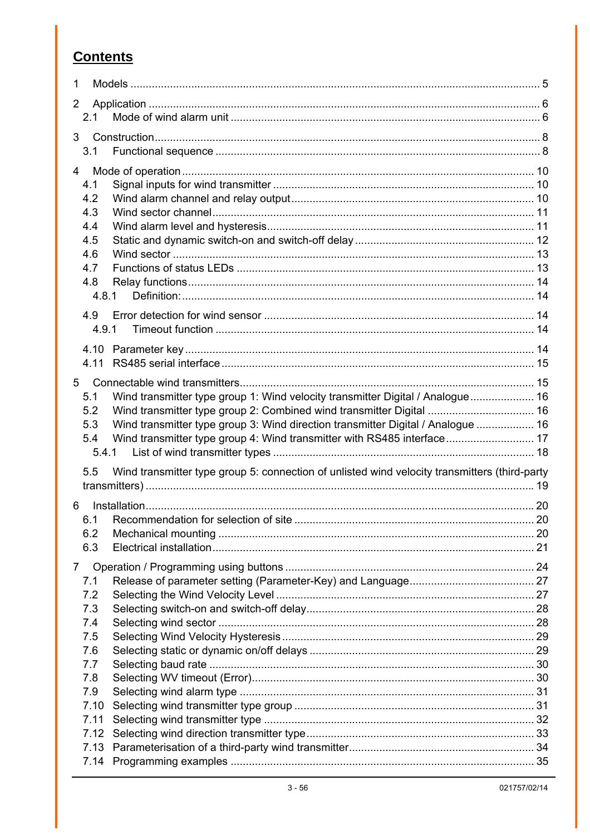## **Contents**

| 1              |                                                                                               |  |
|----------------|-----------------------------------------------------------------------------------------------|--|
| 2              |                                                                                               |  |
| 2.1            |                                                                                               |  |
| 3              |                                                                                               |  |
| 3.1            |                                                                                               |  |
|                |                                                                                               |  |
| 4              |                                                                                               |  |
| 4.1            |                                                                                               |  |
| 4.2<br>4.3     |                                                                                               |  |
| 4.4            |                                                                                               |  |
| 4.5            |                                                                                               |  |
| 4.6            |                                                                                               |  |
| 4.7            |                                                                                               |  |
| 4.8            |                                                                                               |  |
| 4.8.1          |                                                                                               |  |
|                |                                                                                               |  |
| 4.9<br>4.9.1   |                                                                                               |  |
|                |                                                                                               |  |
|                |                                                                                               |  |
|                |                                                                                               |  |
| 5              |                                                                                               |  |
| 5.1            | Wind transmitter type group 1: Wind velocity transmitter Digital / Analogue 16                |  |
| 5.2            |                                                                                               |  |
| 5.3            | Wind transmitter type group 3: Wind direction transmitter Digital / Analogue  16              |  |
| 5.4            | Wind transmitter type group 4: Wind transmitter with RS485 interface 17                       |  |
| 5.4.1          |                                                                                               |  |
| 5.5            | Wind transmitter type group 5: connection of unlisted wind velocity transmitters (third-party |  |
|                |                                                                                               |  |
| 6              |                                                                                               |  |
|                |                                                                                               |  |
| 6.2            |                                                                                               |  |
| 6.3            |                                                                                               |  |
|                |                                                                                               |  |
| $\overline{7}$ |                                                                                               |  |
| 7.1<br>7.2     |                                                                                               |  |
| 7.3            |                                                                                               |  |
| 7.4            |                                                                                               |  |
| 7.5            |                                                                                               |  |
| 7.6            |                                                                                               |  |
| 7.7            |                                                                                               |  |
| 7.8            |                                                                                               |  |
| 7.9            |                                                                                               |  |
| 7.10           |                                                                                               |  |
| 7.11           |                                                                                               |  |
| 7.12           |                                                                                               |  |
|                |                                                                                               |  |
|                |                                                                                               |  |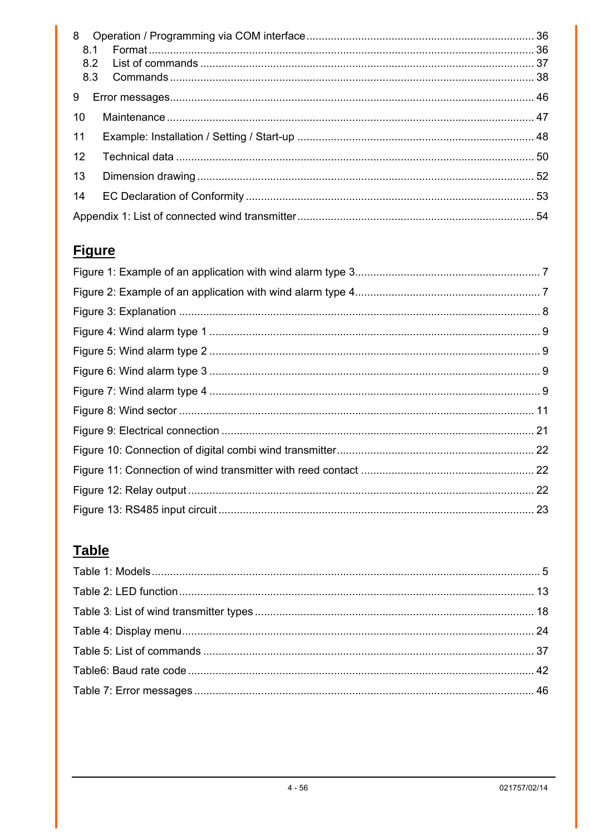| 9  |  |  |
|----|--|--|
| 10 |  |  |
| 11 |  |  |
| 12 |  |  |
| 13 |  |  |
| 14 |  |  |
|    |  |  |

# **Figure**

# **Table**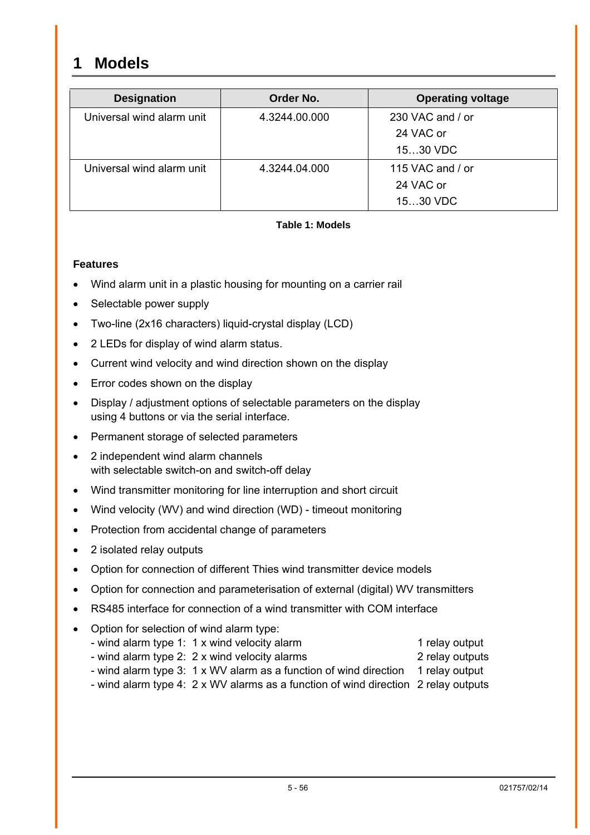## <span id="page-4-0"></span>**1 Models**

| <b>Designation</b>        | Order No.     | <b>Operating voltage</b> |
|---------------------------|---------------|--------------------------|
| Universal wind alarm unit | 4.3244.00.000 | 230 VAC and / or         |
|                           |               | 24 VAC or                |
|                           |               | 1530 VDC                 |
| Universal wind alarm unit | 4.3244.04.000 | 115 VAC and / or         |
|                           |               | 24 VAC or                |
|                           |               | 1530 VDC                 |

#### **Table 1: Models**

#### **Features**

- Wind alarm unit in a plastic housing for mounting on a carrier rail
- Selectable power supply
- Two-line (2x16 characters) liquid-crystal display (LCD)
- 2 LEDs for display of wind alarm status.
- Current wind velocity and wind direction shown on the display
- Error codes shown on the display
- Display / adjustment options of selectable parameters on the display using 4 buttons or via the serial interface.
- Permanent storage of selected parameters
- 2 independent wind alarm channels with selectable switch-on and switch-off delay
- Wind transmitter monitoring for line interruption and short circuit
- Wind velocity (WV) and wind direction (WD) timeout monitoring
- Protection from accidental change of parameters
- 2 isolated relay outputs
- Option for connection of different Thies wind transmitter device models
- Option for connection and parameterisation of external (digital) WV transmitters
- RS485 interface for connection of a wind transmitter with COM interface
- Option for selection of wind alarm type:
	- wind alarm type 1: 1 x wind velocity alarm 1 relay output
	- wind alarm type 2: 2 x wind velocity alarms 2 relay outputs
		- wind alarm type 3: 1 x WV alarm as a function of wind direction 1 relay output
		- wind alarm type 4: 2 x WV alarms as a function of wind direction 2 relay outputs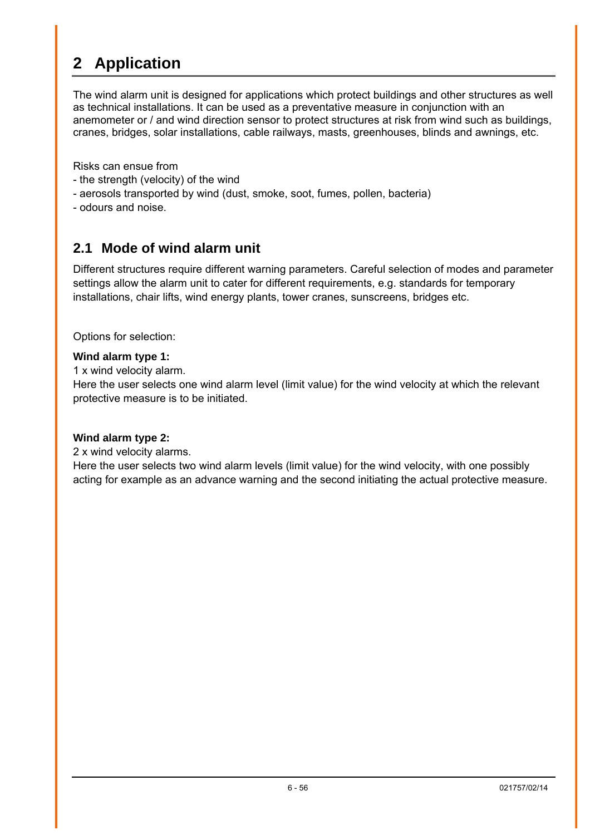# <span id="page-5-0"></span>**2 Application**

The wind alarm unit is designed for applications which protect buildings and other structures as well as technical installations. It can be used as a preventative measure in conjunction with an anemometer or / and wind direction sensor to protect structures at risk from wind such as buildings, cranes, bridges, solar installations, cable railways, masts, greenhouses, blinds and awnings, etc.

Risks can ensue from

- the strength (velocity) of the wind
- aerosols transported by wind (dust, smoke, soot, fumes, pollen, bacteria)
- odours and noise.

## <span id="page-5-1"></span>**2.1 Mode of wind alarm unit**

Different structures require different warning parameters. Careful selection of modes and parameter settings allow the alarm unit to cater for different requirements, e.g. standards for temporary installations, chair lifts, wind energy plants, tower cranes, sunscreens, bridges etc.

Options for selection:

#### **Wind alarm type 1:**

1 x wind velocity alarm.

Here the user selects one wind alarm level (limit value) for the wind velocity at which the relevant protective measure is to be initiated.

#### **Wind alarm type 2:**

2 x wind velocity alarms.

Here the user selects two wind alarm levels (limit value) for the wind velocity, with one possibly acting for example as an advance warning and the second initiating the actual protective measure.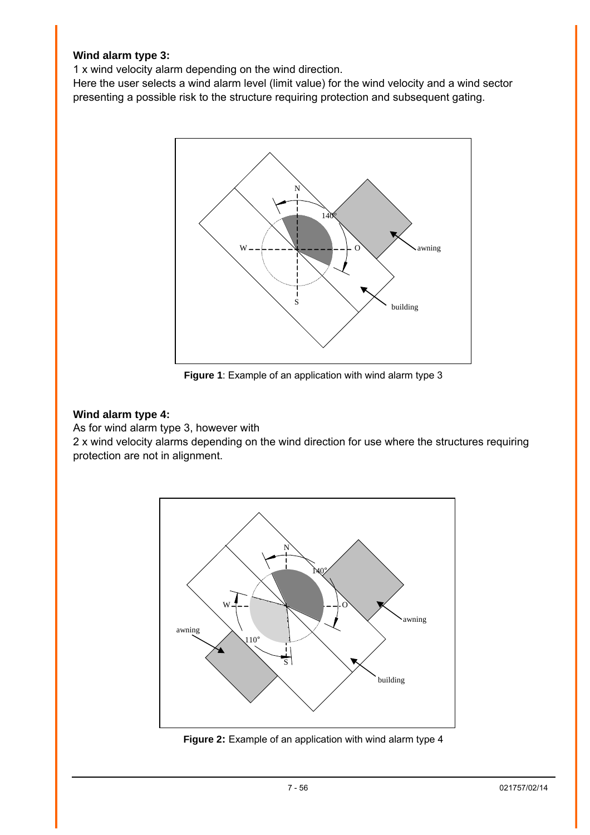#### <span id="page-6-0"></span>**Wind alarm type 3:**

1 x wind velocity alarm depending on the wind direction.

Here the user selects a wind alarm level (limit value) for the wind velocity and a wind sector presenting a possible risk to the structure requiring protection and subsequent gating.



**Figure 1**: Example of an application with wind alarm type 3

#### **Wind alarm type 4:**

As for wind alarm type 3, however with

2 x wind velocity alarms depending on the wind direction for use where the structures requiring protection are not in alignment.



**Figure 2:** Example of an application with wind alarm type 4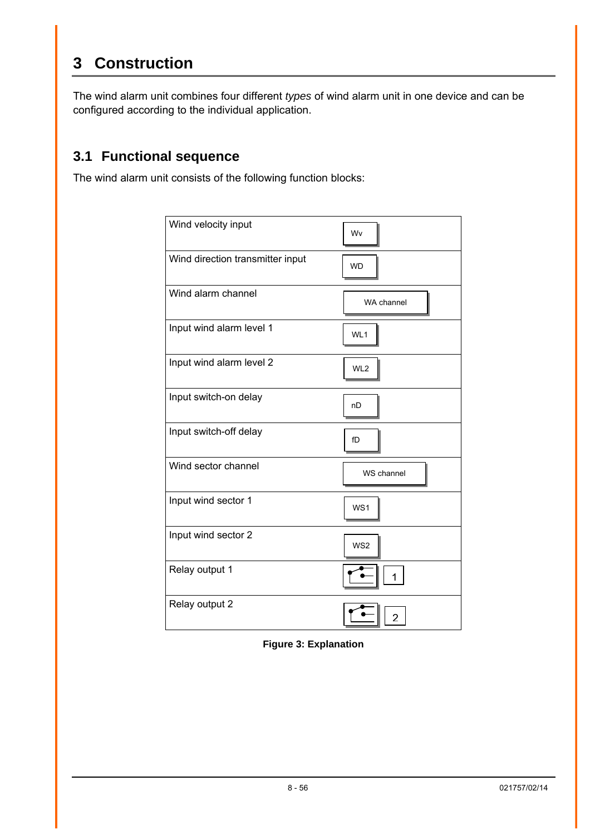# <span id="page-7-0"></span>**3 Construction**

The wind alarm unit combines four different *types* of wind alarm unit in one device and can be configured according to the individual application.

## **3.1 Functional sequence**

The wind alarm unit consists of the following function blocks:

| Wind velocity input              | Wv              |
|----------------------------------|-----------------|
| Wind direction transmitter input | <b>WD</b>       |
| Wind alarm channel               | WA channel      |
| Input wind alarm level 1         | WL1             |
| Input wind alarm level 2         | WL <sub>2</sub> |
| Input switch-on delay            | nD              |
| Input switch-off delay           | fD              |
| Wind sector channel              | WS channel      |
| Input wind sector 1              | WS1             |
| Input wind sector 2              | WS <sub>2</sub> |
| Relay output 1                   |                 |
| Relay output 2                   | $\overline{2}$  |

**Figure 3: Explanation**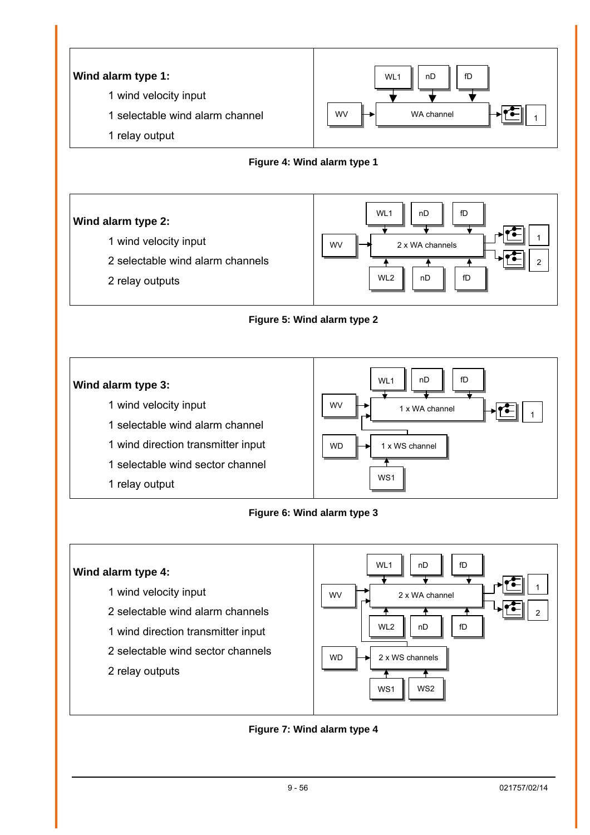<span id="page-8-0"></span>



- 1 wind velocity input
- 2 selectable wind alarm channels
- 2 relay outputs



#### **Figure 5: Wind alarm type 2**



#### **Figure 6: Wind alarm type 3**



#### **Figure 7: Wind alarm type 4**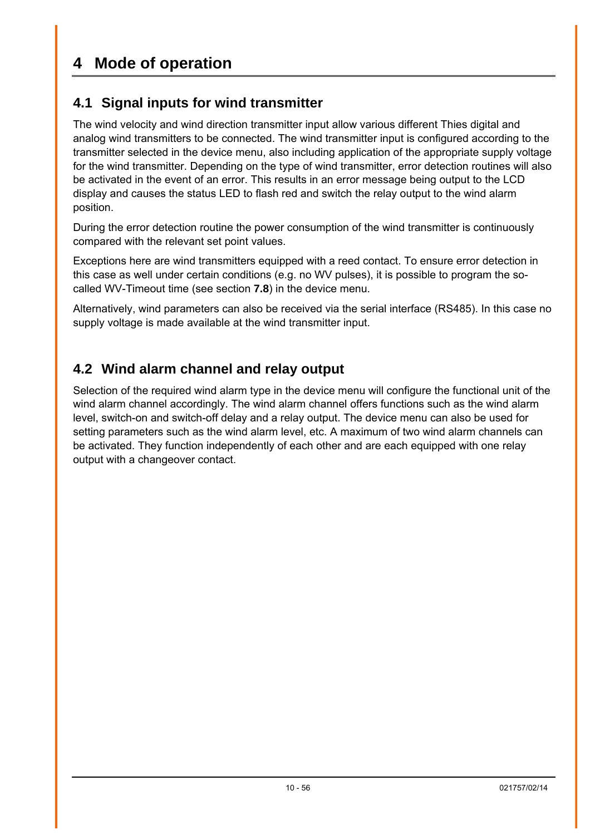## <span id="page-9-0"></span>**4 Mode of operation**

## **4.1 Signal inputs for wind transmitter**

The wind velocity and wind direction transmitter input allow various different Thies digital and analog wind transmitters to be connected. The wind transmitter input is configured according to the transmitter selected in the device menu, also including application of the appropriate supply voltage for the wind transmitter. Depending on the type of wind transmitter, error detection routines will also be activated in the event of an error. This results in an error message being output to the LCD display and causes the status LED to flash red and switch the relay output to the wind alarm position.

During the error detection routine the power consumption of the wind transmitter is continuously compared with the relevant set point values.

Exceptions here are wind transmitters equipped with a reed contact. To ensure error detection in this case as well under certain conditions (e.g. no WV pulses), it is possible to program the socalled WV-Timeout time (see section **[7.8](#page-29-1)**) in the device menu.

Alternatively, wind parameters can also be received via the serial interface (RS485). In this case no supply voltage is made available at the wind transmitter input.

## <span id="page-9-1"></span>**4.2 Wind alarm channel and relay output**

Selection of the required wind alarm type in the device menu will configure the functional unit of the wind alarm channel accordingly. The wind alarm channel offers functions such as the wind alarm level, switch-on and switch-off delay and a relay output. The device menu can also be used for setting parameters such as the wind alarm level, etc. A maximum of two wind alarm channels can be activated. They function independently of each other and are each equipped with one relay output with a changeover contact.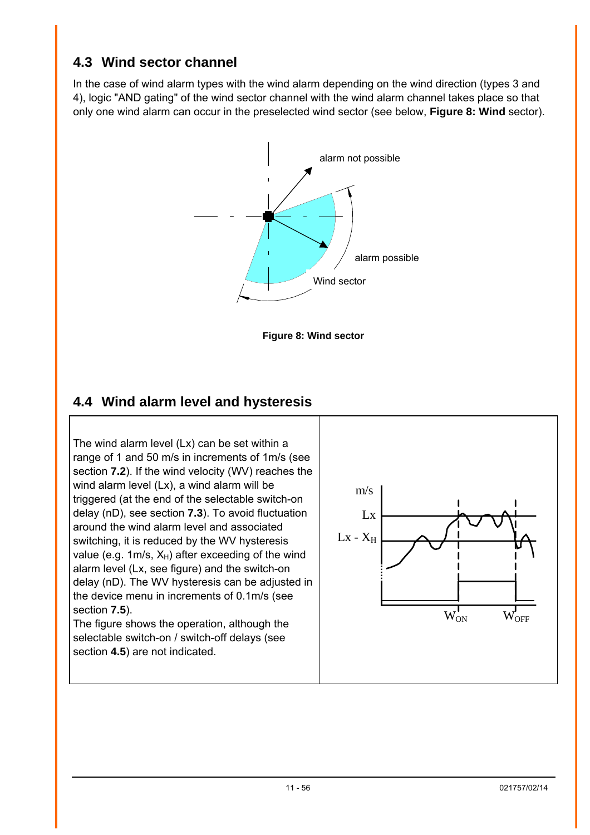## <span id="page-10-0"></span>**4.3 Wind sector channel**

In the case of wind alarm types with the wind alarm depending on the wind direction (types 3 and 4), logic "AND gating" of the wind sector channel with the wind alarm channel takes place so that only one wind alarm can occur in the preselected wind sector (see below, **[Figure 8: Wind](#page-10-1)** sector).



<span id="page-10-1"></span>

## <span id="page-10-2"></span>**4.4 Wind alarm level and hysteresis**

The wind alarm level (Lx) can be set within a range of 1 and 50 m/s in increments of 1m/s (see section **[7.2](#page-26-1)**). If the wind velocity (WV) reaches the wind alarm level (Lx), a wind alarm will be triggered (at the end of the selectable switch-on delay (nD), see section **[7.3](#page-27-1)**). To avoid fluctuation around the wind alarm level and associated switching, it is reduced by the WV hysteresis value (e.g. 1m/s,  $X_H$ ) after exceeding of the wind alarm level (Lx, see figure) and the switch-on delay (nD). The WV hysteresis can be adjusted in the device menu in increments of 0.1m/s (see section **[7.5](#page-28-1)**). The figure shows the operation, although the selectable switch-on / switch-off delays (see section **[4.5](#page-11-1)**) are not indicated.

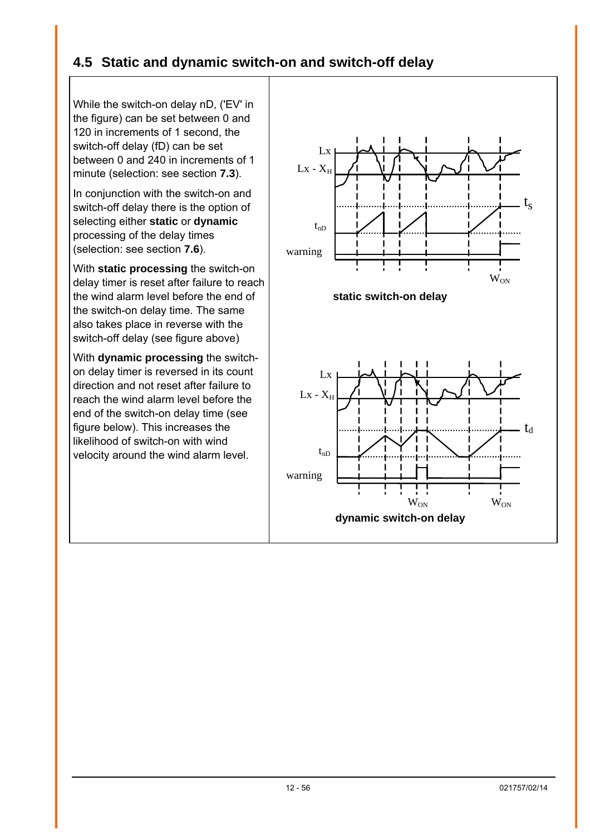## <span id="page-11-1"></span><span id="page-11-0"></span>**4.5 Static and dynamic switch-on and switch-off delay**

While the switch-on delay nD, ('EV' in the figure) can be set between 0 and 120 in increments of 1 second, the switch-off delay (fD) can be set between 0 and 240 in increments of 1 minute (selection: see section **[7.3](#page-27-1)**).

In conjunction with the switch-on and switch-off delay there is the option of selecting either **static** or **dynamic** processing of the delay times (selection: see section **[7.6](#page-28-2)**).

With **static processing** the switch-on delay timer is reset after failure to reach the wind alarm level before the end of the switch-on delay time. The same also takes place in reverse with the switch-off delay (see figure above)

With **dynamic processing** the switchon delay timer is reversed in its count direction and not reset after failure to reach the wind alarm level before the end of the switch-on delay time (see figure below). This increases the likelihood of switch-on with wind velocity around the wind alarm level.

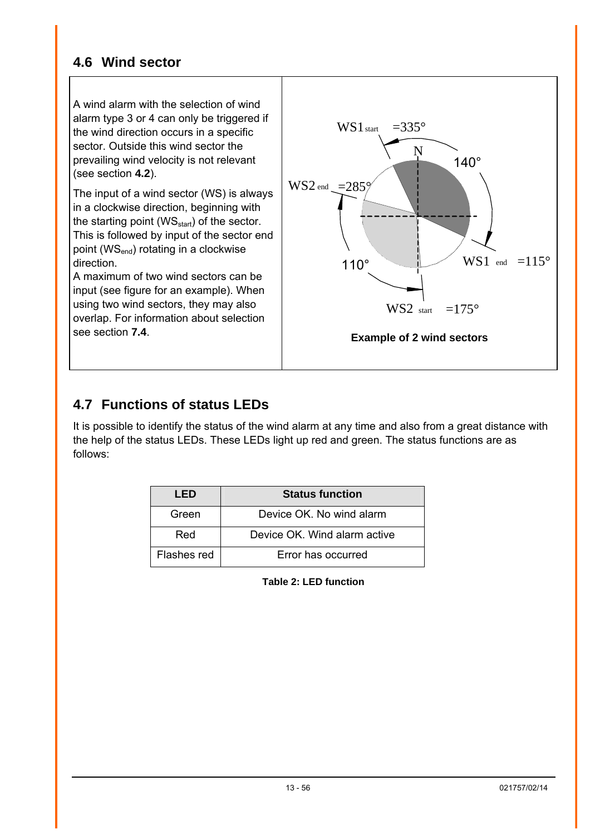## <span id="page-12-1"></span><span id="page-12-0"></span>**4.6 Wind sector**

A wind alarm with the selection of wind alarm type 3 or 4 can only be triggered if the wind direction occurs in a specific sector. Outside this wind sector the prevailing wind velocity is not relevant (see section **[4.2](#page-9-1)**).

The input of a wind sector (WS) is always in a clockwise direction, beginning with the starting point (WS<sub>start</sub>) of the sector. This is followed by input of the sector end point (WS<sub>end</sub>) rotating in a clockwise direction.

A maximum of two wind sectors can be input (see figure for an example). When using two wind sectors, they may also overlap. For information about selection see section **[7.4](#page-27-2)**.



## **4.7 Functions of status LEDs**

It is possible to identify the status of the wind alarm at any time and also from a great distance with the help of the status LEDs. These LEDs light up red and green. The status functions are as follows:

| LED         | <b>Status function</b>       |
|-------------|------------------------------|
| Green       | Device OK. No wind alarm     |
| Red         | Device OK, Wind alarm active |
| Flashes red | Error has occurred           |

**Table 2: LED function**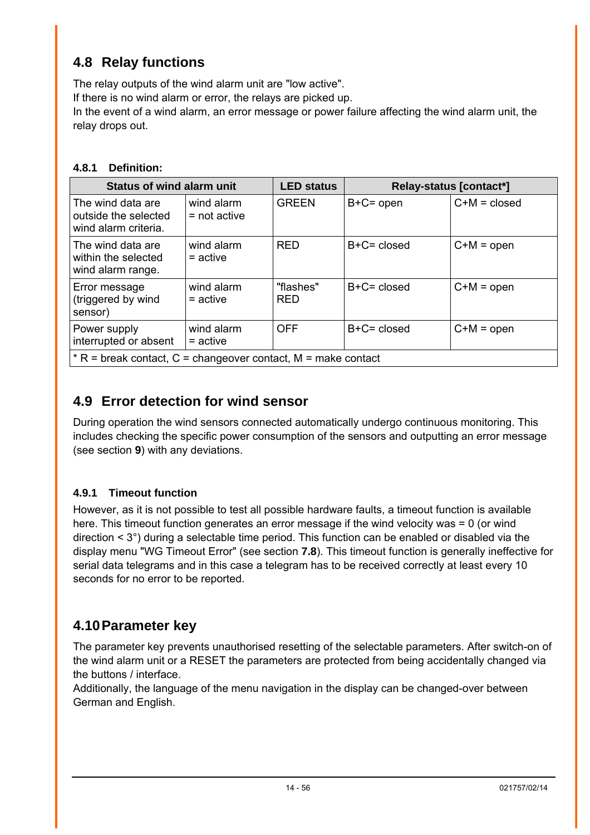## <span id="page-13-2"></span><span id="page-13-0"></span>**4.8 Relay functions**

The relay outputs of the wind alarm unit are "low active". If there is no wind alarm or error, the relays are picked up.

In the event of a wind alarm, an error message or power failure affecting the wind alarm unit, the relay drops out.

#### **4.8.1 Definition:**

| <b>Status of wind alarm unit</b>                                  |                              | <b>LED status</b>       |                | Relay-status [contact*] |
|-------------------------------------------------------------------|------------------------------|-------------------------|----------------|-------------------------|
| The wind data are<br>outside the selected<br>wind alarm criteria. | wind alarm<br>$=$ not active | <b>GREEN</b>            | $B+C=open$     | $C+M = closed$          |
| The wind data are<br>within the selected<br>wind alarm range.     | wind alarm<br>$=$ active     | <b>RED</b>              | $B+C = closed$ | $C+M = open$            |
| Error message<br>(triggered by wind<br>sensor)                    | wind alarm<br>$=$ active     | "flashes"<br><b>RED</b> | $B+C = closed$ | $C+M = open$            |
| Power supply<br>interrupted or absent                             | wind alarm<br>$=$ active     | <b>OFF</b>              | $B+C = closed$ | $C+M = open$            |
| $*$ R = break contact, C = changeover contact, M = make contact   |                              |                         |                |                         |

## **4.9 Error detection for wind sensor**

During operation the wind sensors connected automatically undergo continuous monitoring. This includes checking the specific power consumption of the sensors and outputting an error message (see section **[9](#page-45-1)**) with any deviations.

## <span id="page-13-1"></span>**4.9.1 Timeout function**

However, as it is not possible to test all possible hardware faults, a timeout function is available here. This timeout function generates an error message if the wind velocity was = 0 (or wind direction < 3°) during a selectable time period. This function can be enabled or disabled via the display menu "WG Timeout Error" (see section **[7.8](#page-29-1)**). This timeout function is generally ineffective for serial data telegrams and in this case a telegram has to be received correctly at least every 10 seconds for no error to be reported.

## **4.10 Parameter key**

The parameter key prevents unauthorised resetting of the selectable parameters. After switch-on of the wind alarm unit or a RESET the parameters are protected from being accidentally changed via the buttons / interface.

Additionally, the language of the menu navigation in the display can be changed-over between German and English.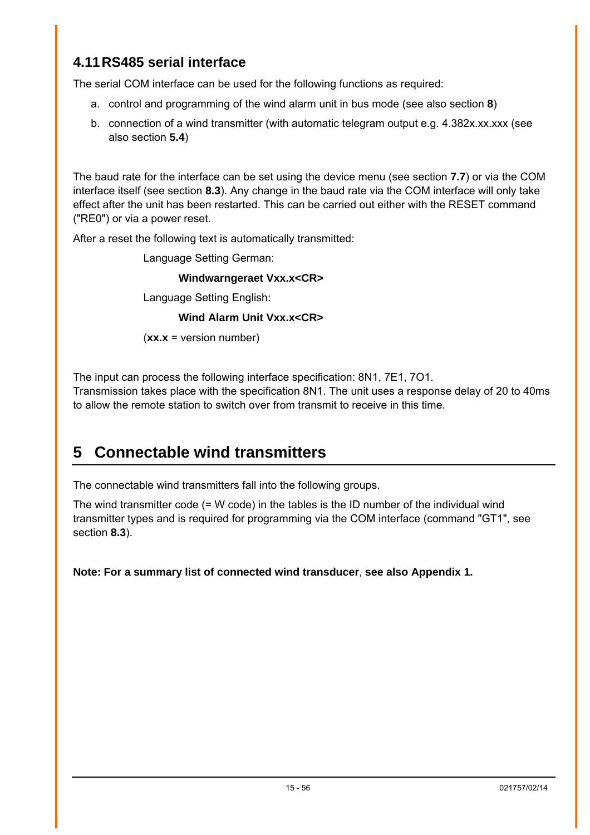## <span id="page-14-0"></span>**4.11 RS485 serial interface**

The serial COM interface can be used for the following functions as required:

- a. control and programming of the wind alarm unit in bus mode (see also section **[8](#page-35-1)**)
- b. connection of a wind transmitter (with automatic telegram output e.g. 4.382x.xx.xxx (see also section **[5.4](#page-16-1)**)

The baud rate for the interface can be set using the device menu (see section **[7.7](#page-29-2)**) or via the COM interface itself (see section **[8.3](#page-37-1)**). Any change in the baud rate via the COM interface will only take effect after the unit has been restarted. This can be carried out either with the RESET command ("RE0") or via a power reset.

After a reset the following text is automatically transmitted:

Language Setting German:

#### **Windwarngeraet Vxx.x<CR>**

Language Setting English:

**Wind Alarm Unit Vxx.x<CR>** 

(**xx.x** = version number)

The input can process the following interface specification: 8N1, 7E1, 7O1.

Transmission takes place with the specification 8N1. The unit uses a response delay of 20 to 40ms to allow the remote station to switch over from transmit to receive in this time.

# <span id="page-14-1"></span>**5 Connectable wind transmitters**

The connectable wind transmitters fall into the following groups.

The wind transmitter code (= W code) in the tables is the ID number of the individual wind transmitter types and is required for programming via the COM interface (command "GT1", see section **[8.3](#page-37-1)**).

**Note: For a summary list of connected wind transducer**, **see also Appendix 1.**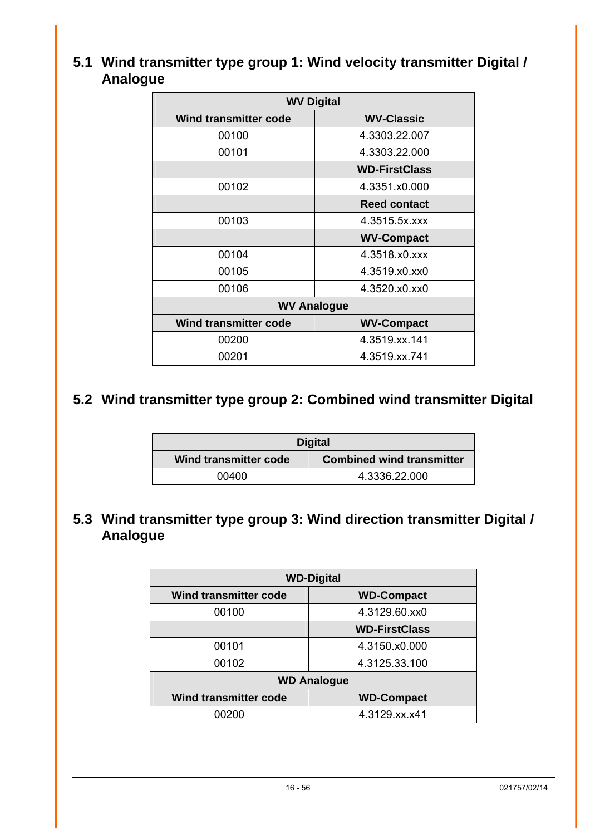## <span id="page-15-0"></span>**5.1 Wind transmitter type group 1: Wind velocity transmitter Digital / Analogue**

| <b>WV Digital</b>            |                      |  |
|------------------------------|----------------------|--|
| <b>Wind transmitter code</b> | <b>WV-Classic</b>    |  |
| 00100                        | 4.3303.22.007        |  |
| 00101                        | 4.3303.22.000        |  |
|                              | <b>WD-FirstClass</b> |  |
| 00102                        | 4.3351.x0.000        |  |
|                              | <b>Reed contact</b>  |  |
| 00103                        | 4.3515.5x.xxx        |  |
|                              | <b>WV-Compact</b>    |  |
| 00104                        | 4.3518.x0.xxx        |  |
| 00105                        | 4.3519.x0.xx0        |  |
| 00106                        | 4.3520.x0.xx0        |  |
| <b>WV Analogue</b>           |                      |  |
| <b>Wind transmitter code</b> | <b>WV-Compact</b>    |  |
| 00200                        | 4.3519.xx.141        |  |
| 00201                        | 4.3519.xx.741        |  |

## **5.2 Wind transmitter type group 2: Combined wind transmitter Digital**

| <b>Digital</b>        |                                  |
|-----------------------|----------------------------------|
| Wind transmitter code | <b>Combined wind transmitter</b> |
| 00400                 | 4.3336.22.000                    |

## **5.3 Wind transmitter type group 3: Wind direction transmitter Digital / Analogue**

| <b>WD-Digital</b>            |                      |  |
|------------------------------|----------------------|--|
| <b>Wind transmitter code</b> | <b>WD-Compact</b>    |  |
| 00100                        | 4.3129.60.xx0        |  |
|                              | <b>WD-FirstClass</b> |  |
| 00101                        | 4.3150.x0.000        |  |
| 00102                        | 4.3125.33.100        |  |
| <b>WD Analogue</b>           |                      |  |
| <b>Wind transmitter code</b> | <b>WD-Compact</b>    |  |
| 00200                        | 4.3129.xx.x41        |  |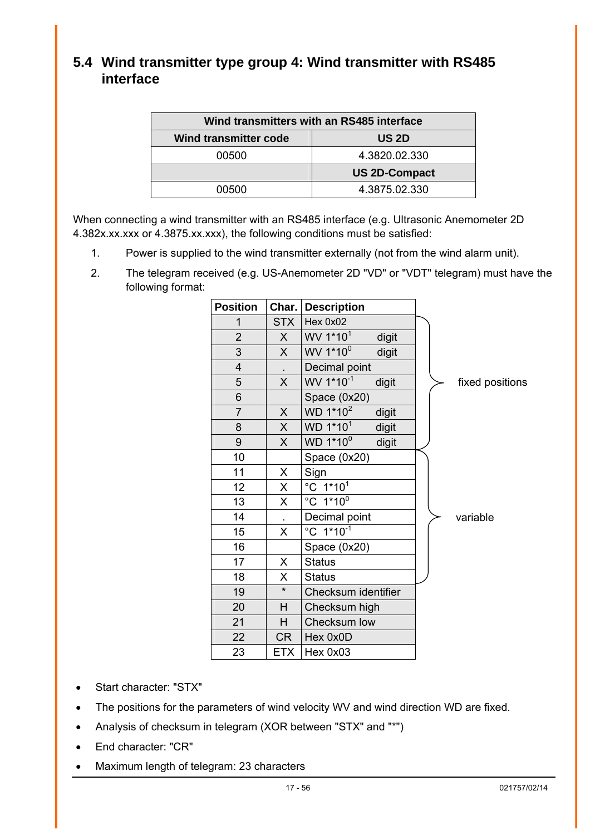## <span id="page-16-1"></span><span id="page-16-0"></span>**5.4 Wind transmitter type group 4: Wind transmitter with RS485 interface**

| Wind transmitters with an RS485 interface |                      |  |
|-------------------------------------------|----------------------|--|
| <b>Wind transmitter code</b>              | US 2D                |  |
| 00500                                     | 4.3820.02.330        |  |
|                                           | <b>US 2D-Compact</b> |  |
| 00500                                     | 4.3875.02.330        |  |

When connecting a wind transmitter with an RS485 interface (e.g. Ultrasonic Anemometer 2D 4.382x.xx.xxx or 4.3875.xx.xxx), the following conditions must be satisfied:

- 1. Power is supplied to the wind transmitter externally (not from the wind alarm unit).
- 2. The telegram received (e.g. US-Anemometer 2D "VD" or "VDT" telegram) must have the following format:

| <b>Position</b> |              | Char.   Description            |                 |
|-----------------|--------------|--------------------------------|-----------------|
| 1               | <b>STX</b>   | Hex 0x02                       |                 |
| $\overline{2}$  | X            | WV 1*10 <sup>1</sup><br>digit  |                 |
| 3               | $\mathsf{X}$ | WV 1*10 <sup>0</sup><br>digit  |                 |
| $\overline{4}$  |              | Decimal point                  |                 |
| 5               | X            | WV 1*10-1<br>digit             | fixed positions |
| 6               |              | Space (0x20)                   |                 |
| $\overline{7}$  | $\mathsf{X}$ | WD 1*10 <sup>2</sup><br>digit  |                 |
| 8               | $\mathsf{X}$ | WD 1*10 <sup>1</sup><br>digit  |                 |
| 9               | $\mathsf{X}$ | WD 1*10 <sup>0</sup><br>digit  |                 |
| 10              |              | Space (0x20)                   |                 |
| 11              | X            | Sign                           |                 |
| 12              | $\mathsf{X}$ | $^{\circ}$ C 1*10 <sup>1</sup> |                 |
| 13              | X            | $^{\circ}$ C 1*10 <sup>0</sup> |                 |
| 14              |              | Decimal point                  | variable        |
| 15              | X            | °C 1*10 <sup>-1</sup>          |                 |
| 16              |              | Space (0x20)                   |                 |
| 17              | X.           | <b>Status</b>                  |                 |
| 18              | X.           | <b>Status</b>                  |                 |
| 19              | $\star$      | Checksum identifier            |                 |
| 20              | H            | Checksum high                  |                 |
| 21              | H            | Checksum low                   |                 |
| 22              | CR           | Hex 0x0D                       |                 |
| 23              | <b>ETX</b>   | Hex 0x03                       |                 |

- Start character: "STX"
- The positions for the parameters of wind velocity WV and wind direction WD are fixed.
- Analysis of checksum in telegram (XOR between "STX" and "\*")
- End character: "CR"
- Maximum length of telegram: 23 characters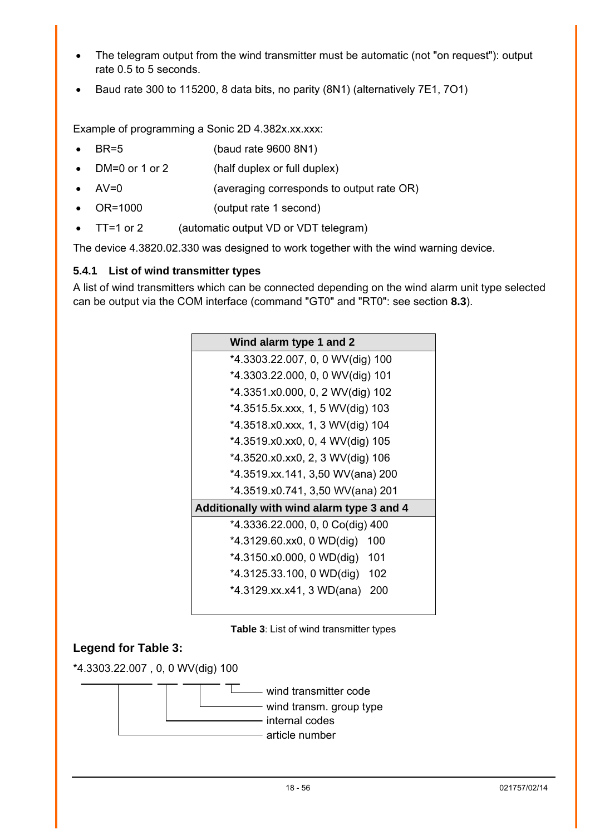- <span id="page-17-0"></span>The telegram output from the wind transmitter must be automatic (not "on request"): output rate 0.5 to 5 seconds.
- Baud rate 300 to 115200, 8 data bits, no parity (8N1) (alternatively 7E1, 7O1)

Example of programming a Sonic 2D 4.382x.xx.xxx:

- BR=5 (baud rate 9600 8N1)
- DM=0 or 1 or 2 (half duplex or full duplex)
- AV=0 (averaging corresponds to output rate OR)
- OR=1000 (output rate 1 second)
- TT=1 or 2 (automatic output VD or VDT telegram)

The device 4.3820.02.330 was designed to work together with the wind warning device.

#### <span id="page-17-1"></span>**5.4.1 List of wind transmitter types**

A list of wind transmitters which can be connected depending on the wind alarm unit type selected can be output via the COM interface (command "GT0" and "RT0": see section **[8.3](#page-37-1)**).

| Wind alarm type 1 and 2                   |
|-------------------------------------------|
| *4.3303.22.007, 0, 0 WV(dig) 100          |
| *4.3303.22.000, 0, 0 WV(dig) 101          |
| *4.3351.x0.000, 0, 2 WV(dig) 102          |
| *4.3515.5x.xxx, 1, 5 WV(dig) 103          |
| *4.3518.x0.xxx, 1, 3 WV(dig) 104          |
| *4.3519.x0.xx0, 0, 4 WV(dig) 105          |
| *4.3520.x0.xx0, 2, 3 WV(dig) 106          |
| *4.3519.xx.141, 3,50 WV(ana) 200          |
| *4.3519.x0.741, 3,50 WV(ana) 201          |
| Additionally with wind alarm type 3 and 4 |
| *4.3336.22.000, 0, 0 Co(dig) 400          |
| *4.3129.60.xx0, 0 WD(dig)<br>100          |
| *4.3150.x0.000, 0 WD(dig) 101             |
| *4.3125.33.100, 0 WD(dig) 102             |
| *4.3129.xx.x41, 3 WD(ana)<br>200          |
|                                           |

<span id="page-17-2"></span>**Table 3**: List of wind transmitter types

## **Legend for Table 3:**

\*4.3303.22.007 , 0, 0 WV(dig) 100

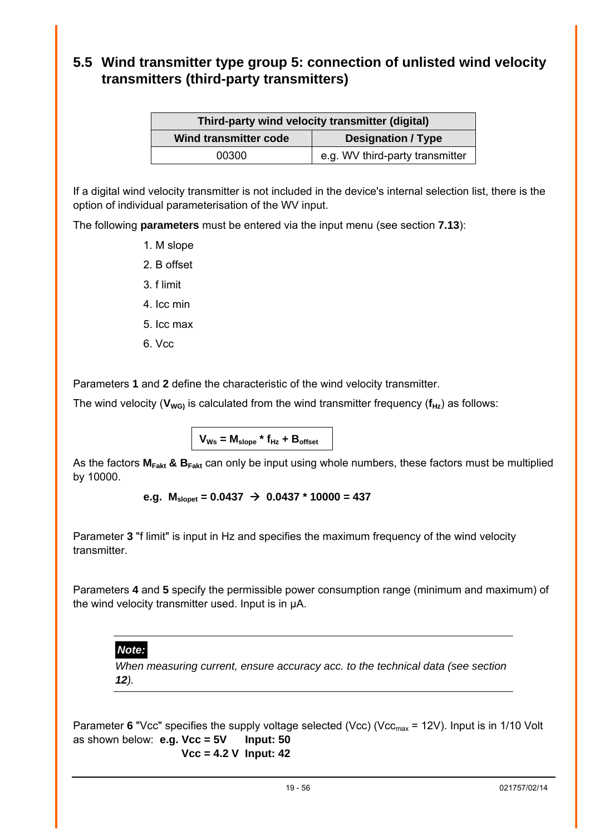## <span id="page-18-1"></span><span id="page-18-0"></span>**5.5 Wind transmitter type group 5: connection of unlisted wind velocity transmitters (third-party transmitters)**

| Third-party wind velocity transmitter (digital) |                                 |  |
|-------------------------------------------------|---------------------------------|--|
| Wind transmitter code                           | <b>Designation / Type</b>       |  |
| 00300                                           | e.g. WV third-party transmitter |  |

If a digital wind velocity transmitter is not included in the device's internal selection list, there is the option of individual parameterisation of the WV input.

The following **parameters** must be entered via the input menu (see section **[7.13](#page-33-1)**):

- 1. M slope
- 2. B offset
- 3. f limit
- 4. Icc min
- 5. Icc max
- 6. Vcc

Parameters **1** and **2** define the characteristic of the wind velocity transmitter.

The wind velocity ( $V_{WG}$ ) is calculated from the wind transmitter frequency ( $f_{Hz}$ ) as follows:

 $V_{\text{Ws}} = M_{\text{slope}} * f_{\text{Hz}} + B_{\text{offset}}$ 

As the factors  $M_{Fakt}$  &  $B_{Fakt}$  can only be input using whole numbers, these factors must be multiplied by 10000.

```
e.g. M_{\text{slopet}} = 0.0437 \rightarrow 0.0437 * 10000 = 437
```
Parameter **3** "f limit" is input in Hz and specifies the maximum frequency of the wind velocity transmitter.

Parameters **4** and **5** specify the permissible power consumption range (minimum and maximum) of the wind velocity transmitter used. Input is in µA.

#### *Note:*

*When measuring current, ensure accuracy acc. to the technical data (see section [12](#page-49-1)).* 

Parameter 6 "Vcc" specifies the supply voltage selected (Vcc) (Vcc<sub>max</sub> = 12V). Input is in 1/10 Volt as shown below: **e.g. Vcc = 5V Input: 50 Vcc = 4.2 V Input: 42**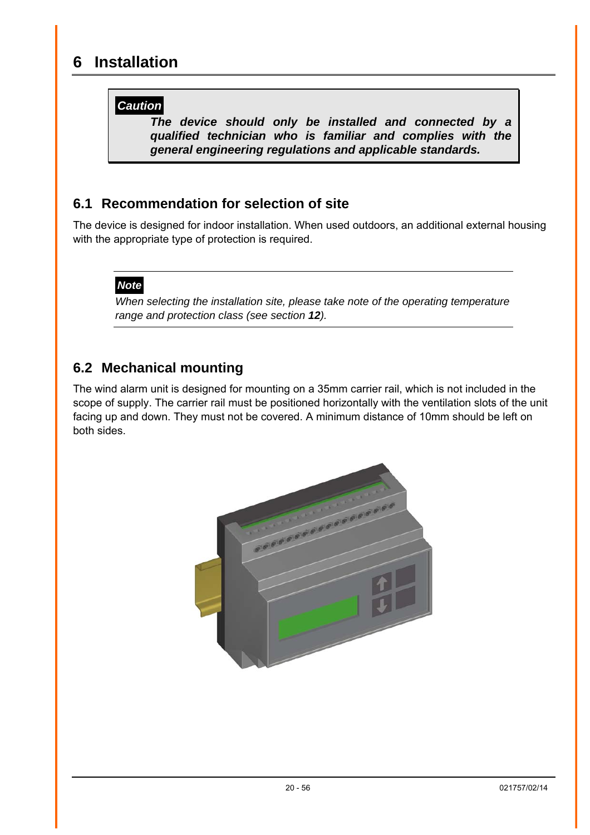## <span id="page-19-0"></span>**6 Installation**

## *Caution*

*The device should only be installed and connected by a qualified technician who is familiar and complies with the general engineering regulations and applicable standards.* 

## **6.1 Recommendation for selection of site**

The device is designed for indoor installation. When used outdoors, an additional external housing with the appropriate type of protection is required.

## *Note*

*When selecting the installation site, please take note of the operating temperature range and protection class (see section [12](#page-49-1)).* 

## **6.2 Mechanical mounting**

The wind alarm unit is designed for mounting on a 35mm carrier rail, which is not included in the scope of supply. The carrier rail must be positioned horizontally with the ventilation slots of the unit facing up and down. They must not be covered. A minimum distance of 10mm should be left on both sides.

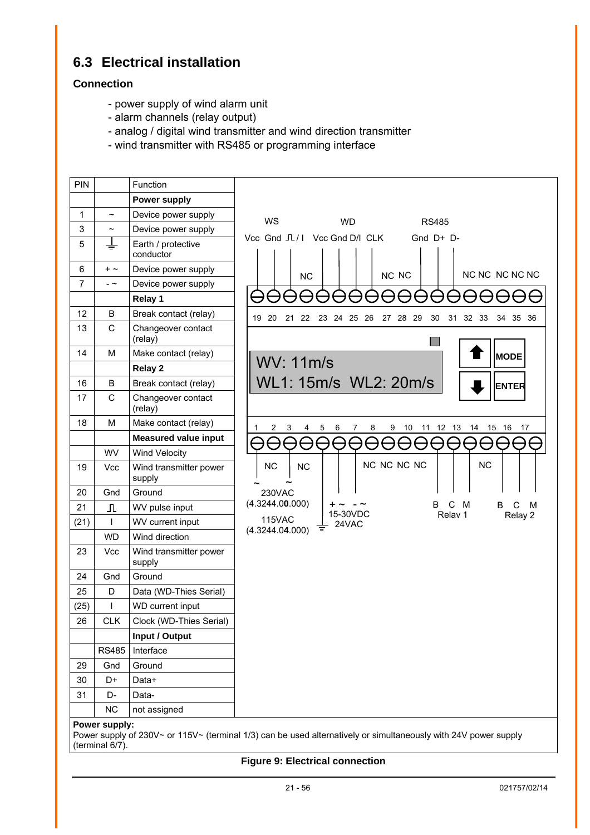## <span id="page-20-0"></span>**6.3 Electrical installation**

#### **Connection**

- power supply of wind alarm unit
- alarm channels (relay output)
- analog / digital wind transmitter and wind direction transmitter
- wind transmitter with RS485 or programming interface



**Figure 9: Electrical connection**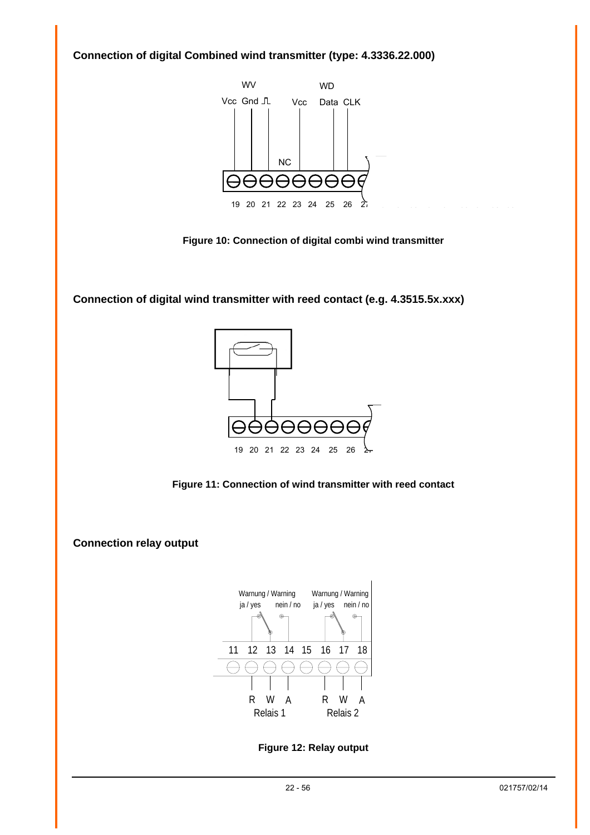<span id="page-21-0"></span>**Connection of digital Combined wind transmitter (type: 4.3336.22.000)** 



**Figure 10: Connection of digital combi wind transmitter** 

**Connection of digital wind transmitter with reed contact (e.g. 4.3515.5x.xxx)** 



**Figure 11: Connection of wind transmitter with reed contact** 

**Connection relay output** 



**Figure 12: Relay output**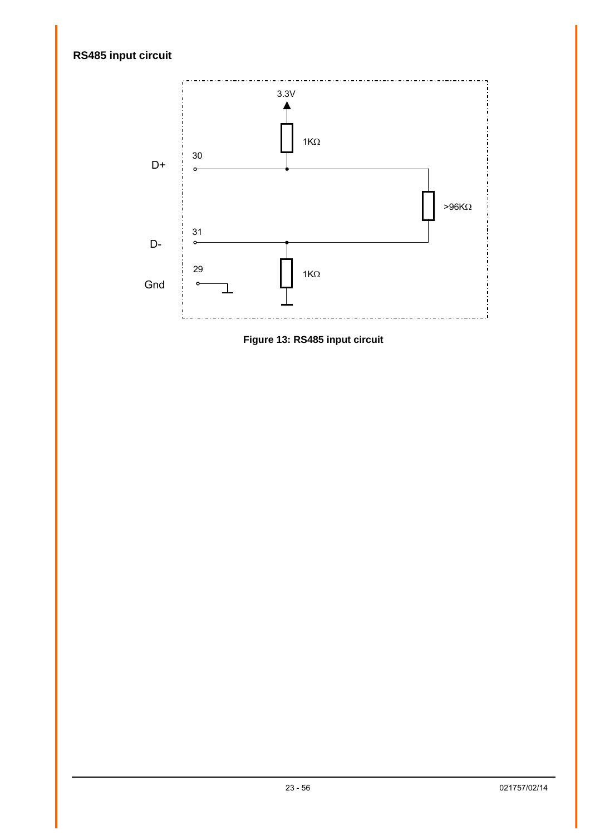## <span id="page-22-0"></span>**RS485 input circuit**



<span id="page-22-1"></span>**Figure 13: RS485 input circuit**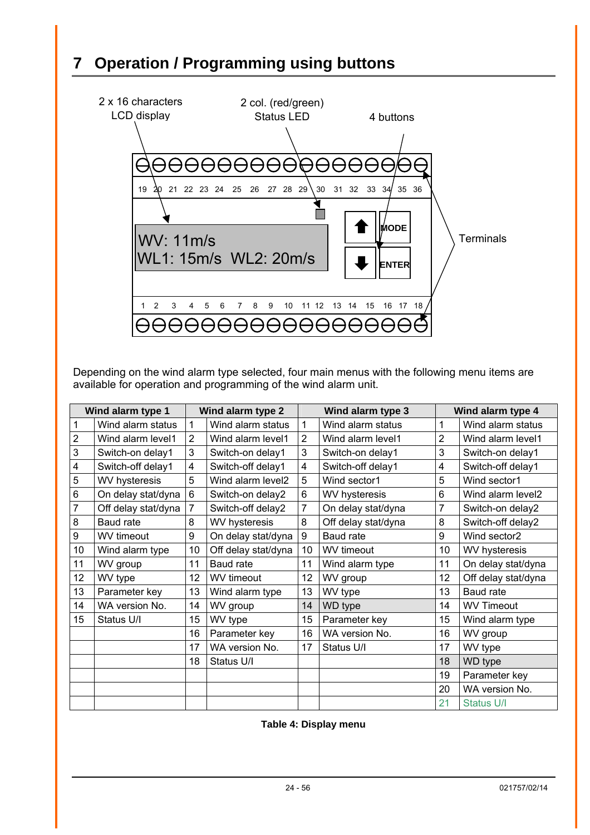# <span id="page-23-1"></span><span id="page-23-0"></span>**7 Operation / Programming using buttons**



Depending on the wind alarm type selected, four main menus with the following menu items are available for operation and programming of the wind alarm unit.

| Wind alarm type 1 |                     |                | Wind alarm type 2    |    | Wind alarm type 3    |                | Wind alarm type 4    |  |
|-------------------|---------------------|----------------|----------------------|----|----------------------|----------------|----------------------|--|
|                   | Wind alarm status   | $\mathbf{1}$   | Wind alarm status    | 1  | Wind alarm status    | 1              | Wind alarm status    |  |
| $\overline{2}$    | Wind alarm level1   | $\overline{2}$ | Wind alarm level1    | 2  | Wind alarm level1    | $\overline{2}$ | Wind alarm level1    |  |
| 3                 | Switch-on delay1    | 3              | Switch-on delay1     | 3  | Switch-on delay1     | 3              | Switch-on delay1     |  |
| 4                 | Switch-off delay1   | 4              | Switch-off delay1    | 4  | Switch-off delay1    | 4              | Switch-off delay1    |  |
| 5                 | WV hysteresis       | 5              | Wind alarm level2    | 5  | Wind sector1         | 5              | Wind sector1         |  |
| 6                 | On delay stat/dyna  | 6              | Switch-on delay2     | 6  | <b>WV hysteresis</b> | 6              | Wind alarm level2    |  |
| 7                 | Off delay stat/dyna | 7              | Switch-off delay2    | 7  | On delay stat/dyna   | 7              | Switch-on delay2     |  |
| 8                 | Baud rate           | 8              | <b>WV hysteresis</b> | 8  | Off delay stat/dyna  | 8              | Switch-off delay2    |  |
| 9                 | WV timeout          | 9              | On delay stat/dyna   | 9  | Baud rate            | 9              | Wind sector2         |  |
| 10                | Wind alarm type     | 10             | Off delay stat/dyna  | 10 | WV timeout           | 10             | <b>WV hysteresis</b> |  |
| 11                | WV group            | 11             | Baud rate            | 11 | Wind alarm type      | 11             | On delay stat/dyna   |  |
| 12                | WV type             | 12             | WV timeout           | 12 | WV group             | 12             | Off delay stat/dyna  |  |
| 13                | Parameter key       | 13             | Wind alarm type      | 13 | WV type              | 13             | <b>Baud rate</b>     |  |
| 14                | WA version No.      | 14             | WV group             | 14 | <b>WD</b> type       | 14             | <b>WV Timeout</b>    |  |
| 15                | Status U/I          | 15             | WV type              | 15 | Parameter key        | 15             | Wind alarm type      |  |
|                   |                     | 16             | Parameter key        | 16 | WA version No.       | 16             | WV group             |  |
|                   |                     | 17             | WA version No.       | 17 | Status U/I           | 17             | WV type              |  |
|                   |                     | 18             | Status U/I           |    |                      | 18             | <b>WD</b> type       |  |
|                   |                     |                |                      |    |                      | 19             | Parameter key        |  |
|                   |                     |                |                      |    |                      | 20             | WA version No.       |  |
|                   |                     |                |                      |    |                      | 21             | <b>Status U/I</b>    |  |

**Table 4: Display menu**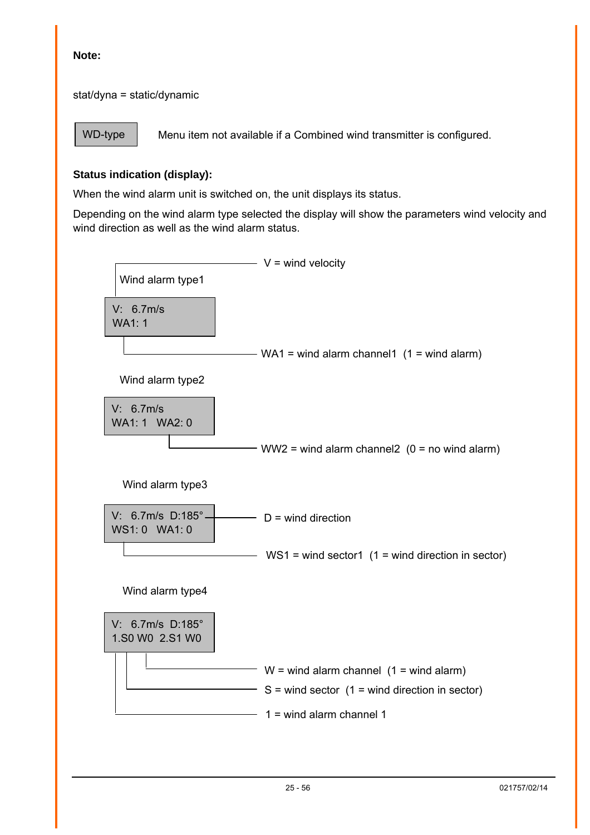#### **Note:**

stat/dyna = static/dynamic

WD-type

Menu item not available if a Combined wind transmitter is configured.

#### **Status indication (display):**

When the wind alarm unit is switched on, the unit displays its status.

Depending on the wind alarm type selected the display will show the parameters wind velocity and wind direction as well as the wind alarm status.

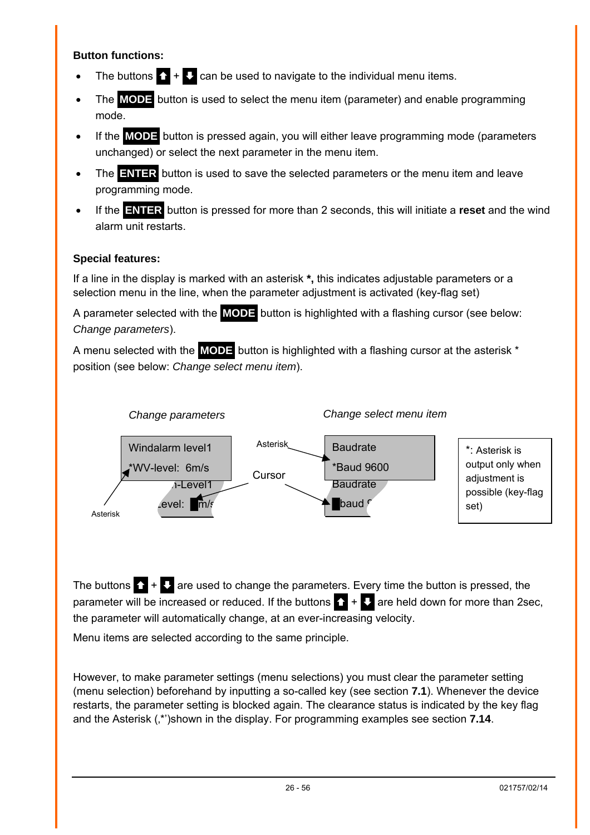#### **Button functions:**

- The buttons  $\bullet + \bullet$  can be used to navigate to the individual menu items.
- The **MODE** button is used to select the menu item (parameter) and enable programming mode.
- If the **MODE** button is pressed again, you will either leave programming mode (parameters unchanged) or select the next parameter in the menu item.
- The **ENTER** button is used to save the selected parameters or the menu item and leave programming mode.
- If the **ENTER** button is pressed for more than 2 seconds, this will initiate a **reset** and the wind alarm unit restarts.

## **Special features:**

If a line in the display is marked with an asterisk **\*,** this indicates adjustable parameters or a selection menu in the line, when the parameter adjustment is activated (key-flag set)

A parameter selected with the **MODE** button is highlighted with a flashing cursor (see below: *Change parameters*).

A menu selected with the **MODE** button is highlighted with a flashing cursor at the asterisk \* position (see below: *Change select menu item*).



The buttons  $\sum + \sum$  are used to change the parameters. Every time the button is pressed, the parameter will be increased or reduced. If the buttons  $\bullet$  +  $\bullet$  are held down for more than 2sec, the parameter will automatically change, at an ever-increasing velocity.

Menu items are selected according to the same principle.

However, to make parameter settings (menu selections) you must clear the parameter setting (menu selection) beforehand by inputting a so-called key (see section **[7.1](#page-26-2)**). Whenever the device restarts, the parameter setting is blocked again. The clearance status is indicated by the key flag and the Asterisk (\*)shown in the display. For programming examples see section **[7.14](#page-34-1)**.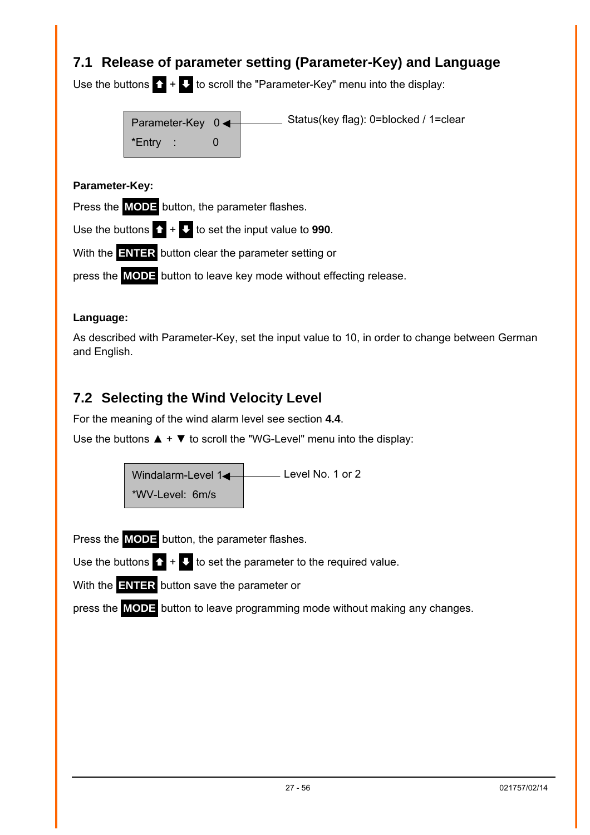## <span id="page-26-2"></span><span id="page-26-0"></span>**7.1 Release of parameter setting (Parameter-Key) and Language**

Use the buttons  $\sum + \sum$  to scroll the "Parameter-Key" menu into the display:



#### **Parameter-Key:**

Press the **MODE** button, the parameter flashes.

Use the buttons  $\bullet$  +  $\bullet$  to set the input value to **990**.

With the **ENTER** button clear the parameter setting or

press the **MODE** button to leave key mode without effecting release.

#### **Language:**

As described with Parameter-Key, set the input value to 10, in order to change between German and English.

## <span id="page-26-1"></span>**7.2 Selecting the Wind Velocity Level**

For the meaning of the wind alarm level see section **[4.4](#page-10-2)**.

Use the buttons  $\blacktriangle + \blacktriangledown$  to scroll the "WG-Level" menu into the display:

Windalarm-Level 14 \*WV-Level: 6m/s Level No. 1 or 2

Press the **MODE** button, the parameter flashes.

Use the buttons  $\bigcap_{i=1}^{n} A_i$  to set the parameter to the required value.

With the **ENTER** button save the parameter or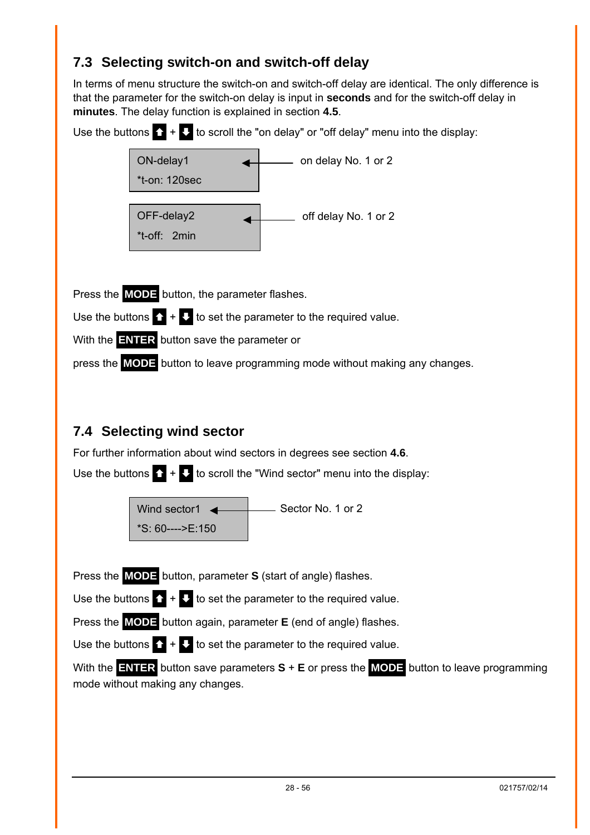## <span id="page-27-1"></span><span id="page-27-0"></span>**7.3 Selecting switch-on and switch-off delay**

In terms of menu structure the switch-on and switch-off delay are identical. The only difference is that the parameter for the switch-on delay is input in **seconds** and for the switch-off delay in **minutes**. The delay function is explained in section **[4.5](#page-11-1)**.





Press the **MODE** button, the parameter flashes.

Use the buttons  $\sum + \sum$  to set the parameter to the required value.

With the **ENTER** button save the parameter or

press the **MODE** button to leave programming mode without making any changes.

## <span id="page-27-2"></span>**7.4 Selecting wind sector**

For further information about wind sectors in degrees see section **[4.6](#page-12-1)**.

Use the buttons  $\bullet$  +  $\bullet$  to scroll the "Wind sector" menu into the display:



Press the **MODE** button, parameter **S** (start of angle) flashes.

Use the buttons  $\mathbf{\Omega}$  +  $\mathbf{\Omega}$  to set the parameter to the required value.

Press the **MODE** button again, parameter **E** (end of angle) flashes.

Use the buttons  $\mathbf{\Omega} + \mathbf{\mathbf{U}}$  to set the parameter to the required value.

With the **ENTER** button save parameters **S** + **E** or press the **MODE** button to leave programming mode without making any changes.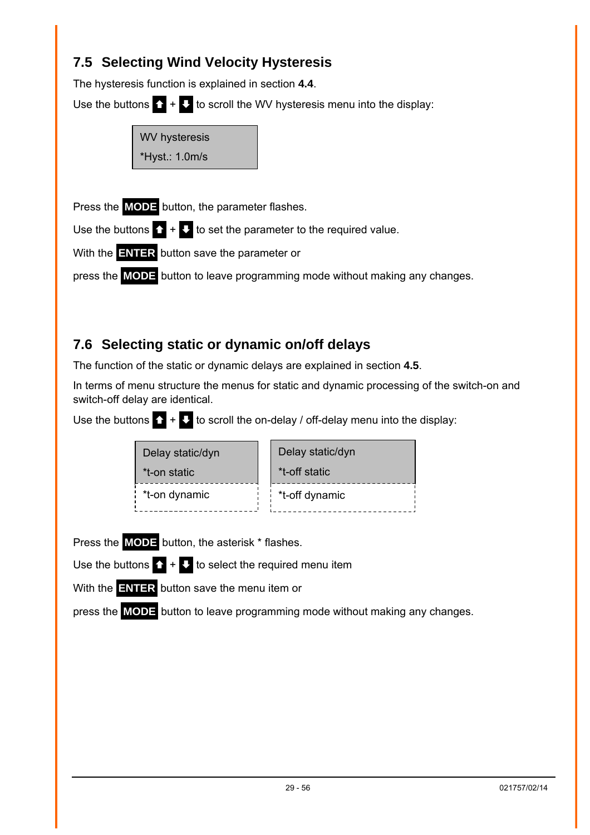## <span id="page-28-1"></span><span id="page-28-0"></span>**7.5 Selecting Wind Velocity Hysteresis**

The hysteresis function is explained in section **[4.4](#page-10-2)**.

Use the buttons  $\mathbf{\Omega} + \mathbf{U}$  to scroll the WV hysteresis menu into the display:



Press the **MODE** button, the parameter flashes.

Use the buttons  $\bullet + \bullet$  to set the parameter to the required value.

With the **ENTER** button save the parameter or

press the **MODE** button to leave programming mode without making any changes.

## <span id="page-28-2"></span>**7.6 Selecting static or dynamic on/off delays**

The function of the static or dynamic delays are explained in section **[4.5](#page-11-1)**.

In terms of menu structure the menus for static and dynamic processing of the switch-on and switch-off delay are identical.

Use the buttons  $\sum + \sum$  to scroll the on-delay / off-delay menu into the display:

| Delay static/dyn | Delay static/dyn |
|------------------|------------------|
| *t-on static     | *t-off static    |
| *t-on dynamic    | *t-off dynamic   |

Press the **MODE** button, the asterisk \* flashes.

Use the buttons  $\sum + \sum$  to select the required menu item

With the **ENTER** button save the menu item or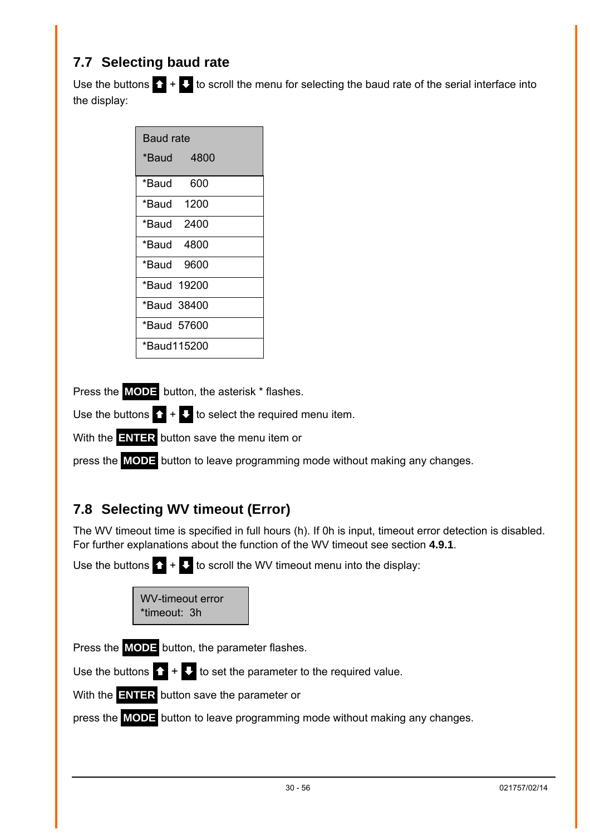## <span id="page-29-2"></span><span id="page-29-0"></span>**7.7 Selecting baud rate**

Use the buttons  $\mathbf{\Omega}$  +  $\mathbf{\Omega}$  to scroll the menu for selecting the baud rate of the serial interface into the display:

| <b>Baud rate</b> |            |  |
|------------------|------------|--|
|                  | *Baud 4800 |  |
| *Baud            | - 600      |  |
| *Baud 1200       |            |  |
| *Baud 2400       |            |  |
| *Baud 4800       |            |  |
| *Baud 9600       |            |  |
| *Baud 19200      |            |  |
| *Baud 38400      |            |  |
| *Baud 57600      |            |  |
| *Baud115200      |            |  |

Press the **MODE** button, the asterisk \* flashes.

Use the buttons  $\mathbf{\Omega} + \mathbf{\Omega}$  to select the required menu item.

With the **ENTER** button save the menu item or

press the **MODE** button to leave programming mode without making any changes.

## <span id="page-29-1"></span>**7.8 Selecting WV timeout (Error)**

The WV timeout time is specified in full hours (h). If 0h is input, timeout error detection is disabled. For further explanations about the function of the WV timeout see section **[4.9.1](#page-13-1)**.

Use the buttons  $\mathbf{\Omega}$  +  $\mathbf{\Omega}$  to scroll the WV timeout menu into the display:

| WV-timeout error |  |
|------------------|--|
| *timeout: 3h     |  |

Press the **MODE** button, the parameter flashes.

Use the buttons  $\mathbf{\Omega}$  +  $\mathbf{\Omega}$  to set the parameter to the required value.

With the **ENTER** button save the parameter or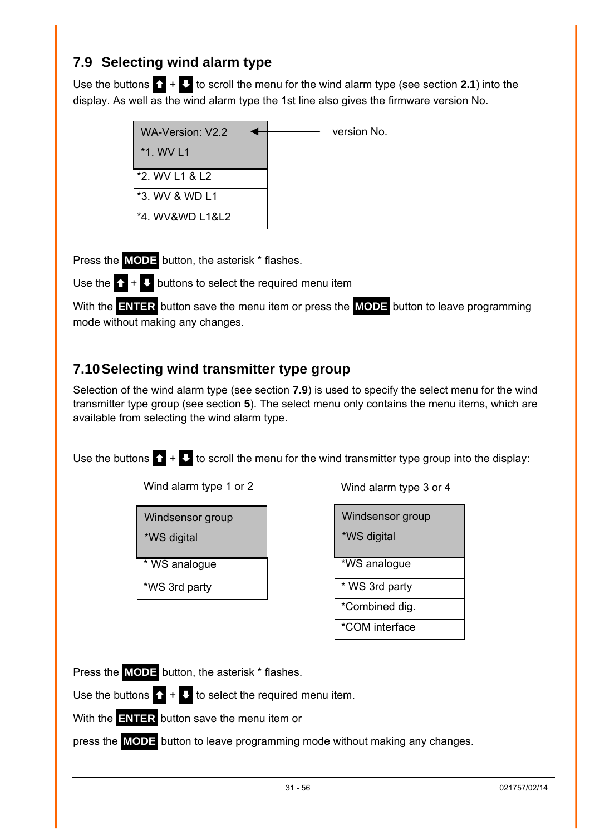## <span id="page-30-1"></span><span id="page-30-0"></span>**7.9 Selecting wind alarm type**

Use the buttons  $\mathbf{\Omega} + \mathbf{\Omega}$  to scroll the menu for the wind alarm type (see section [2.1](#page-5-1)) into the display. As well as the wind alarm type the 1st line also gives the firmware version No.

| WA-Version: V2.2 | version No. |
|------------------|-------------|
| $*1.$ WV L1      |             |
| *2. WV L1 & L2   |             |
| *3. WV & WD L1   |             |
| *4. WV&WD L1&L2  |             |

Press the **MODE** button, the asterisk \* flashes.

Use the  $\bigcap_{i=1}^{n} A_i$  buttons to select the required menu item

With the **ENTER** button save the menu item or press the **MODE** button to leave programming mode without making any changes.

## <span id="page-30-2"></span>**7.10 Selecting wind transmitter type group**

Selection of the wind alarm type (see section **[7.9](#page-30-1)**) is used to specify the select menu for the wind transmitter type group (see section **[5](#page-14-1)**). The select menu only contains the menu items, which are available from selecting the wind alarm type.

Use the buttons  $\sum + \sum$  to scroll the menu for the wind transmitter type group into the display:

Wind alarm type 1 or 2

| Windsensor group |  |
|------------------|--|
| *WS digital      |  |

\* WS analogue

\*WS 3rd party

Wind alarm type 3 or 4

| Windsensor group<br>*WS digital |
|---------------------------------|
| *WS analogue                    |
| * WS 3rd party                  |
| *Combined dig.                  |
| *COM interface                  |

Press the **MODE** button, the asterisk \* flashes.

Use the buttons  $\bullet + \bullet$  to select the required menu item.

With the **ENTER** button save the menu item or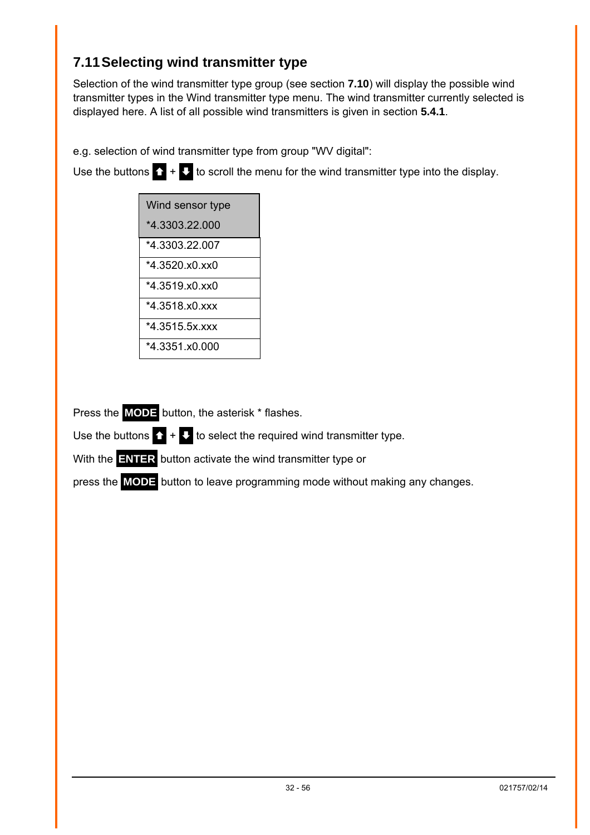## <span id="page-31-1"></span><span id="page-31-0"></span>**7.11 Selecting wind transmitter type**

Selection of the wind transmitter type group (see section **[7.10](#page-30-2)**) will display the possible wind transmitter types in the Wind transmitter type menu. The wind transmitter currently selected is displayed here. A list of all possible wind transmitters is given in section **[5.4.1](#page-17-1)**.

e.g. selection of wind transmitter type from group "WV digital":

Use the buttons  $\sum + \sum$  to scroll the menu for the wind transmitter type into the display.

| Wind sensor type |
|------------------|
| *4 3303 22 000   |
| *4.3303.22.007   |
| *4 3520 x0 xx0   |
| *4.3519.x0.xx0   |
| *4 3518 x0 xxx   |
| *4.3515.5x.xxx   |
| *4.3351.x0.000   |
|                  |

Press the **MODE** button, the asterisk \* flashes.

Use the buttons  $\sum + \sum$  to select the required wind transmitter type.

With the **ENTER** button activate the wind transmitter type or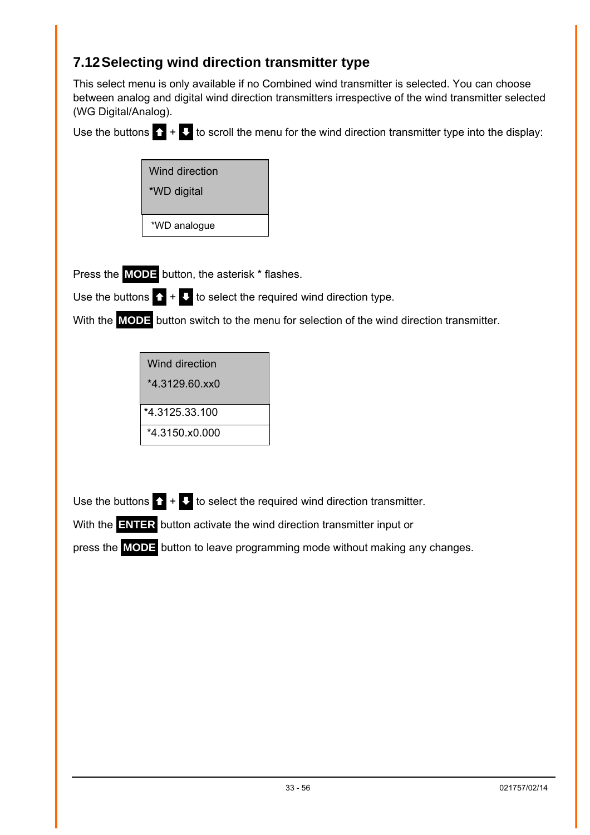## <span id="page-32-0"></span>**7.12 Selecting wind direction transmitter type**

This select menu is only available if no Combined wind transmitter is selected. You can choose between analog and digital wind direction transmitters irrespective of the wind transmitter selected (WG Digital/Analog).

Use the buttons  $\mathbf{\Omega}$  +  $\mathbf{\Omega}$  to scroll the menu for the wind direction transmitter type into the display:

| <b>Wind direction</b> |
|-----------------------|
| *WD digital           |
|                       |
| *WD analogue          |

Press the **MODE** button, the asterisk \* flashes.

Use the buttons  $\sum + \sum$  to select the required wind direction type.

With the **MODE** button switch to the menu for selection of the wind direction transmitter.

| Wind direction   |  |
|------------------|--|
| $*4.3129.60$ xx0 |  |
| *4.3125.33.100   |  |
| *4.3150.x0.000   |  |

Use the buttons  $\sum + \sum$  to select the required wind direction transmitter.

With the **ENTER** button activate the wind direction transmitter input or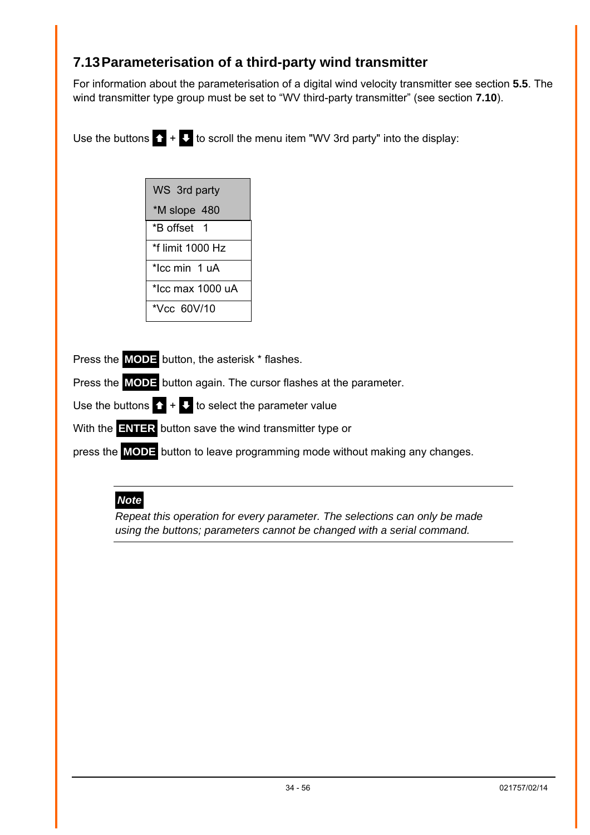## <span id="page-33-1"></span><span id="page-33-0"></span>**7.13 Parameterisation of a third-party wind transmitter**

For information about the parameterisation of a digital wind velocity transmitter see section **[5.5](#page-18-1)**. The wind transmitter type group must be set to "WV third-party transmitter" (see section **[7.10](#page-30-2)**).

Use the buttons  $\sum + \sum$  to scroll the menu item "WV 3rd party" into the display:

| WS 3rd party     |
|------------------|
| *M slope 480     |
| *B offset 1      |
| *f limit 1000 Hz |
| *Icc min 1 uA    |
| *Icc max 1000 uA |
| *Vcc 60V/10      |

Press the **MODE** button, the asterisk \* flashes.

Press the **MODE** button again. The cursor flashes at the parameter.

Use the buttons  $\bullet$  +  $\bullet$  to select the parameter value

With the **ENTER** button save the wind transmitter type or

press the **MODE** button to leave programming mode without making any changes.

## *Note*

*Repeat this operation for every parameter. The selections can only be made using the buttons; parameters cannot be changed with a serial command.*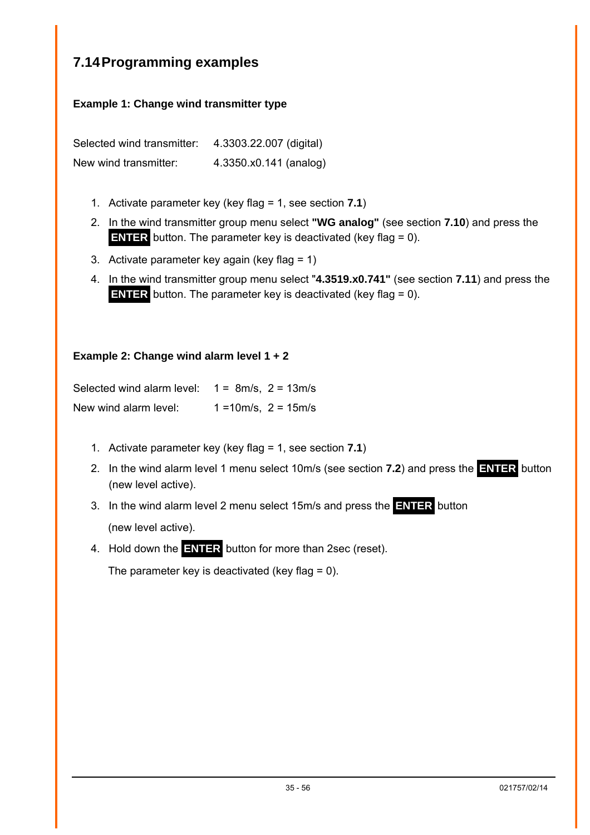## <span id="page-34-1"></span><span id="page-34-0"></span>**7.14 Programming examples**

#### **Example 1: Change wind transmitter type**

Selected wind transmitter: 4.3303.22.007 (digital) New wind transmitter: 4.3350.x0.141 (analog)

- 1. Activate parameter key (key flag = 1, see section **[7.1](#page-26-2)**)
- 2. In the wind transmitter group menu select **"WG analog"** (see section **[7.10](#page-30-2)**) and press the **ENTER** button. The parameter key is deactivated (key flag = 0).
- 3. Activate parameter key again (key flag = 1)
- 4. In the wind transmitter group menu select "**4.3519.x0.741"** (see section **[7.11](#page-31-1)**) and press the **ENTER** button. The parameter key is deactivated (key flag = 0).

#### **Example 2: Change wind alarm level 1 + 2**

| Selected wind alarm level: | $1 = 8m/s$ , $2 = 13m/s$  |
|----------------------------|---------------------------|
| New wind alarm level:      | $1 = 10m/s$ , $2 = 15m/s$ |

- 1. Activate parameter key (key flag = 1, see section **[7.1](#page-26-2)**)
- 2. In the wind alarm level 1 menu select 10m/s (see section **[7.2](#page-26-1)**) and press the **ENTER** button (new level active).

3. In the wind alarm level 2 menu select 15m/s and press the **ENTER** button (new level active).

4. Hold down the **ENTER** button for more than 2sec (reset).

The parameter key is deactivated (key flag  $= 0$ ).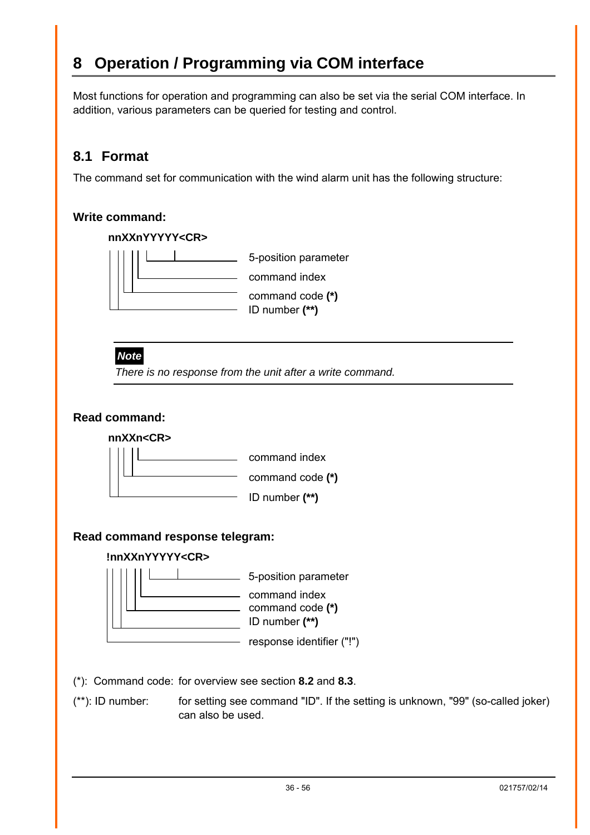# <span id="page-35-1"></span><span id="page-35-0"></span>**8 Operation / Programming via COM interface**

Most functions for operation and programming can also be set via the serial COM interface. In addition, various parameters can be queried for testing and control.

## <span id="page-35-2"></span>**8.1 Format**

The command set for communication with the wind alarm unit has the following structure:

#### **Write command:**



(\*): Command code: for overview see section **[8.2](#page-36-1)** and **[8.3](#page-37-1)**.

(\*\*): ID number: for setting see command "ID". If the setting is unknown, "99" (so-called joker) can also be used.

response identifier ("!")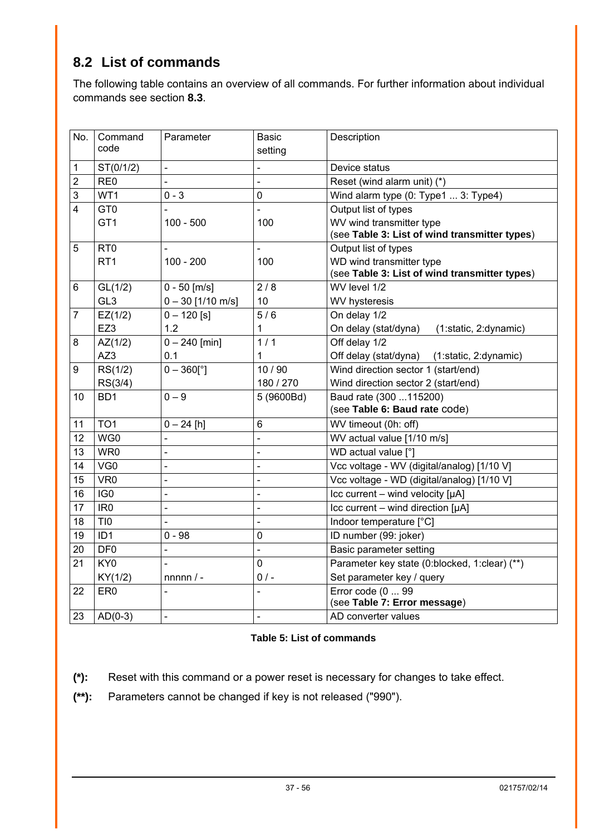## <span id="page-36-1"></span><span id="page-36-0"></span>**8.2 List of commands**

The following table contains an overview of all commands. For further information about individual commands see section **[8.3](#page-37-1)**.

| No.            | Command         | Parameter           | <b>Basic</b>   | Description                                        |
|----------------|-----------------|---------------------|----------------|----------------------------------------------------|
|                | code            |                     | setting        |                                                    |
| 1              | ST(0/1/2)       |                     |                | Device status                                      |
| $\overline{2}$ | RE <sub>0</sub> |                     |                | Reset (wind alarm unit) (*)                        |
| 3              | WT1             | 0 - 3               | 0              | Wind alarm type (0: Type1  3: Type4)               |
| $\overline{4}$ | GT <sub>0</sub> |                     |                | Output list of types                               |
|                | GT <sub>1</sub> | $100 - 500$         | 100            | WV wind transmitter type                           |
|                |                 |                     |                | (see Table 3: List of wind transmitter types)      |
| 5              | R <sub>T0</sub> |                     | $\blacksquare$ | Output list of types                               |
|                | RT <sub>1</sub> | $100 - 200$         | 100            | WD wind transmitter type                           |
|                |                 |                     |                | (see Table 3: List of wind transmitter types)      |
| 6              | GL(1/2)         | $0 - 50$ [m/s]      | 2/8            | WV level 1/2                                       |
|                | GL <sub>3</sub> | $0 - 30$ [1/10 m/s] | 10             | WV hysteresis                                      |
| $\overline{7}$ | EZ(1/2)         | $0 - 120$ [s]       | 5/6            | On delay 1/2                                       |
|                | EZ3             | 1.2                 | 1              | On delay (stat/dyna)<br>(1:static, 2:dynamic)      |
| 8              | AZ(1/2)         | $0 - 240$ [min]     | 1/1            | Off delay 1/2                                      |
|                | AZ3             | 0.1                 | $\mathbf{1}$   | Off delay (stat/dyna) (1:static, 2:dynamic)        |
| 9              | RS(1/2)         | $0 - 360$ [°]       | 10/90          | Wind direction sector 1 (start/end)                |
|                | RS(3/4)         |                     | 180 / 270      | Wind direction sector 2 (start/end)                |
| 10             | BD <sub>1</sub> | $0 - 9$             | 5 (9600Bd)     | Baud rate (300  115200)                            |
|                |                 |                     |                | (see Table 6: Baud rate code)                      |
| 11             | TO <sub>1</sub> | $0 - 24$ [h]        | 6              | WV timeout (0h: off)                               |
| 12             | WG0             |                     | $\overline{a}$ | WV actual value [1/10 m/s]                         |
| 13             | WR0             |                     | $\overline{a}$ | WD actual value [°]                                |
| 14             | VG <sub>0</sub> |                     |                | Vcc voltage - WV (digital/analog) [1/10 V]         |
| 15             | VR <sub>0</sub> |                     |                | Vcc voltage - WD (digital/analog) [1/10 V]         |
| 16             | IG <sub>0</sub> |                     | $\overline{a}$ | $\textsf{Icc}$ current – wind velocity [µA]        |
| 17             | IR <sub>0</sub> |                     |                | $\textsf{Lcc}$ current – wind direction [ $\mu$ A] |
| 18             | TI <sub>0</sub> |                     | $\overline{a}$ | Indoor temperature [°C]                            |
| 19             | ID <sub>1</sub> | $0 - 98$            | 0              | ID number (99: joker)                              |
| 20             | DF <sub>0</sub> |                     |                | Basic parameter setting                            |
| 21             | KY <sub>0</sub> |                     | 0              | Parameter key state (0:blocked, 1:clear) (**)      |
|                | KY(1/2)         | $nnnnn/ -$          | $0/$ -         | Set parameter key / query                          |
| 22             | ER <sub>0</sub> |                     |                | Error code (0  99                                  |
|                |                 |                     |                | (see Table 7: Error message)                       |
| 23             | $AD(0-3)$       |                     |                | AD converter values                                |

#### <span id="page-36-2"></span>**Table 5: List of commands**

**(\*):** Reset with this command or a power reset is necessary for changes to take effect.

**(\*\*):** Parameters cannot be changed if key is not released ("990").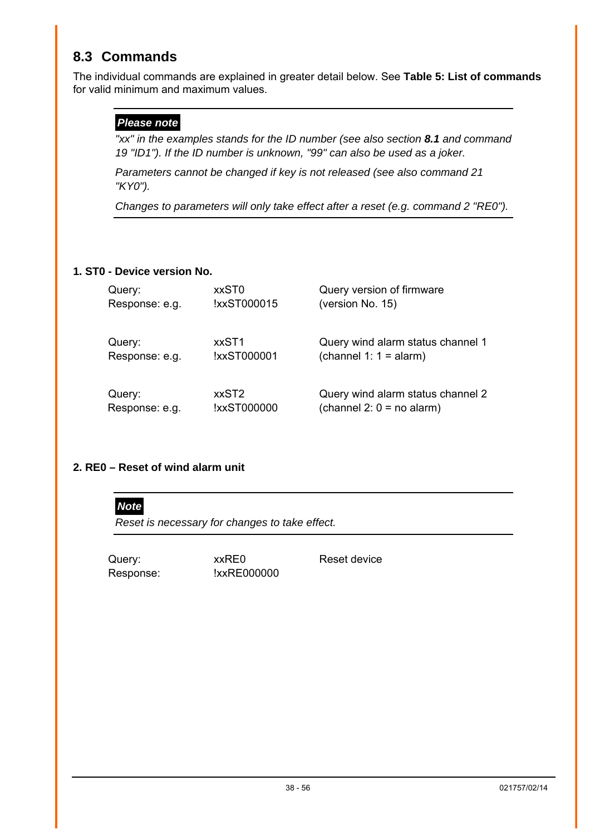## <span id="page-37-1"></span><span id="page-37-0"></span>**8.3 Commands**

The individual commands are explained in greater detail below. See **[Table 5: List of commands](#page-36-2)** for valid minimum and maximum values.

#### *Please note*

*"xx" in the examples stands for the ID number (see also section [8.1](#page-35-2) and command 19 "ID1"). If the ID number is unknown, "99" can also be used as a joker.* 

*Parameters cannot be changed if key is not released (see also command 21 "KY0").* 

*Changes to parameters will only take effect after a reset (e.g. command 2 "RE0").* 

#### **1. ST0 - Device version No.**

| Query:         | xxST0       | Query version of firmware         |
|----------------|-------------|-----------------------------------|
| Response: e.g. | !xxST000015 | (version No. 15)                  |
| Query:         | xxST1       | Query wind alarm status channel 1 |
| Response: e.g. | !xxST000001 | (channel 1: $1 =$ alarm)          |
| Query:         | xxST2       | Query wind alarm status channel 2 |
| Response: e.g. | !xxST000000 | (channel $2: 0 = no$ alarm)       |

#### **2. RE0 – Reset of wind alarm unit**



*Reset is necessary for changes to take effect.* 

Query:  $xx$ RE0 Reset device Response: !xxRE000000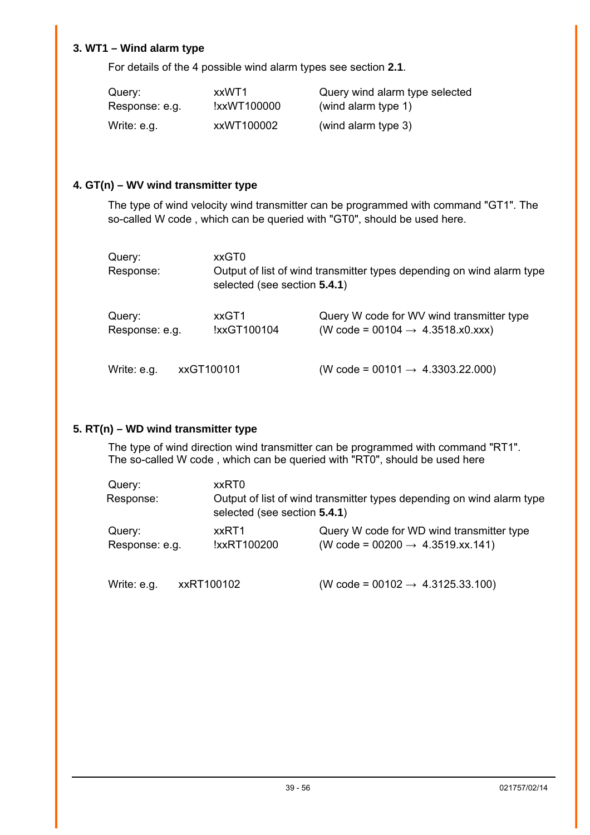#### **3. WT1 – Wind alarm type**

For details of the 4 possible wind alarm types see section **[2.1](#page-5-1)**.

| Query:         | xxWT1       | Query wind alarm type selected |
|----------------|-------------|--------------------------------|
| Response: e.g. | !xxWT100000 | (wind alarm type 1)            |
| Write: e.g.    | xxWT100002  | (wind alarm type 3)            |

#### **4. GT(n) – WV wind transmitter type**

The type of wind velocity wind transmitter can be programmed with command "GT1". The so-called W code , which can be queried with "GT0", should be used here.

| Query:<br>Response:      |            | xxGT0<br>selected (see section 5.4.1) | Output of list of wind transmitter types depending on wind alarm type                     |  |
|--------------------------|------------|---------------------------------------|-------------------------------------------------------------------------------------------|--|
| Query:<br>Response: e.g. |            | xxGT1<br>!xxGT100104                  | Query W code for WV wind transmitter type<br>(W code = 00104 $\rightarrow$ 4.3518.x0.xxx) |  |
| Write: e.g.              | xxGT100101 |                                       | (W code = 00101 $\rightarrow$ 4.3303.22.000)                                              |  |

#### **5. RT(n) – WD wind transmitter type**

The type of wind direction wind transmitter can be programmed with command "RT1". The so-called W code , which can be queried with "RT0", should be used here

| Query:<br>Response:      | xxRT0                        | Output of list of wind transmitter types depending on wind alarm type                     |
|--------------------------|------------------------------|-------------------------------------------------------------------------------------------|
|                          | selected (see section 5.4.1) |                                                                                           |
| Query:<br>Response: e.g. | xxRT1<br>!xxRT100200         | Query W code for WD wind transmitter type<br>(W code = 00200 $\rightarrow$ 4.3519.xx.141) |

Write: e.g.  $xxRT100102$  (W code = 00102  $\rightarrow$  4.3125.33.100)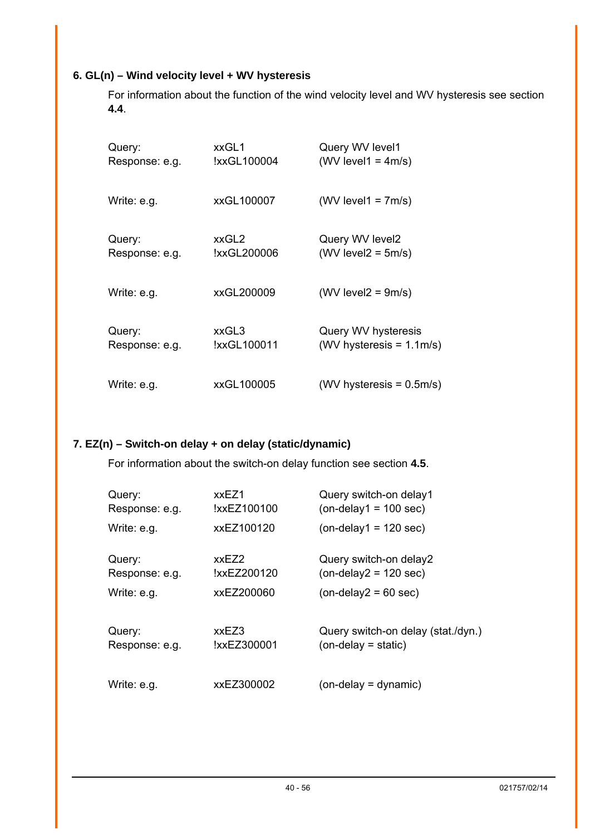#### **6. GL(n) – Wind velocity level + WV hysteresis**

For information about the function of the wind velocity level and WV hysteresis see section **[4.4](#page-10-2)**.

| Query:         | xxGL1       | Query WV level1             |
|----------------|-------------|-----------------------------|
| Response: e.g. | !xxGL100004 | (WV level $1 = 4m/s$ )      |
| Write: e.g.    | xxGL100007  | (WV level $1 = 7m/s$ )      |
| Query:         | xxGL2       | Query WV level2             |
| Response: e.g. | !xxGL200006 | $(WV$ level $2 = 5m/s$ )    |
| Write: e.g.    | xxGL200009  | $(WV$ level $2 = 9m/s$ )    |
| Query:         | xxGL3       | Query WV hysteresis         |
| Response: e.g. | !xxGL100011 | (WV hysteresis = $1.1m/s$ ) |
| Write: e.g.    | xxGL100005  | (WV hysteresis $= 0.5$ m/s) |

#### **7. EZ(n) – Switch-on delay + on delay (static/dynamic)**

For information about the switch-on delay function see section **[4.5](#page-11-1)**.

| Query:         | xxEZ1       | Query switch-on delay1             |
|----------------|-------------|------------------------------------|
| Response: e.g. | !xxEZ100100 | $($ on-delay1 = 100 sec $)$        |
| Write: e.g.    | xxEZ100120  | $($ on-delay1 = 120 sec $)$        |
| Query:         | xxEZ2       | Query switch-on delay2             |
| Response: e.g. | !xxEZ200120 | $($ on-delay $2 = 120$ sec $)$     |
| Write: e.g.    | xxEZ200060  | $(on-delay2 = 60 sec)$             |
| Query:         | xxEZ3       | Query switch-on delay (stat./dyn.) |
| Response: e.g. | !xxEZ300001 | $(on$ -delay = static)             |
| Write: e.g.    | xxEZ300002  | $($ on-delay = dynamic $)$         |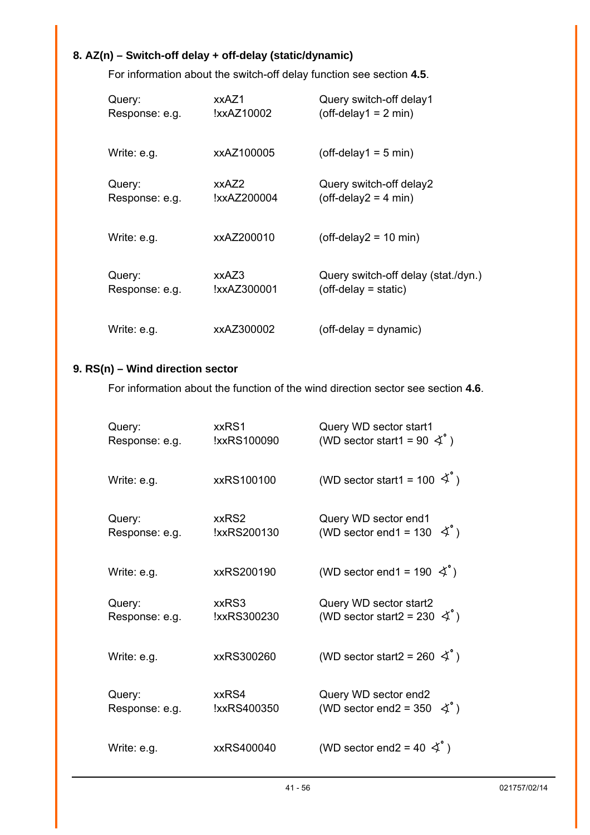## **8. AZ(n) – Switch-off delay + off-delay (static/dynamic)**

For information about the switch-off delay function see section **[4.5](#page-11-1)**.

| Query:         | xxAZ1       | Query switch-off delay1             |
|----------------|-------------|-------------------------------------|
| Response: e.g. | !xxAZ10002  | $(off-delay1 = 2 min)$              |
| Write: e.g.    | xxAZ100005  | $(off-delay1 = 5 min)$              |
| Query:         | xxAZ2       | Query switch-off delay2             |
| Response: e.g. | !xxAZ200004 | $(off-delay2 = 4 min)$              |
| Write: e.g.    | xxAZ200010  | $(off$ -delay2 = 10 min)            |
| Query:         | xxAZ3       | Query switch-off delay (stat./dyn.) |
| Response: e.g. | !xxAZ300001 | $(off$ -delay = static)             |
| Write: e.g.    | xxAZ300002  | (off-delay = dynamic)               |

#### **9. RS(n) – Wind direction sector**

For information about the function of the wind direction sector see section **[4.6](#page-12-1)**.

| Query:         | xxRS1       | Query WD sector start1                               |
|----------------|-------------|------------------------------------------------------|
| Response: e.g. | !xxRS100090 | (WD sector start1 = 90 $\measuredangle^{\circ}$ )    |
| Write: e.g.    | xxRS100100  | (WD sector start1 = 100 $\AA$ °)                     |
| Query:         | xxRS2       | Query WD sector end1                                 |
| Response: e.g. | !xxRS200130 | (WD sector end1 = 130 $\measuredangle^{\circ}$ )     |
| Write: e.g.    | xxRS200190  | (WD sector end1 = 190 $\measuredangle$ °)            |
| Query:         | xxRS3       | Query WD sector start2                               |
| Response: e.g. | !xxRS300230 | (WD sector start2 = 230 $\measuredangle^{\degree}$ ) |
| Write: e.g.    | xxRS300260  | (WD sector start2 = 260 $\varphi$ °)                 |
| Query:         | xxRS4       | Query WD sector end2                                 |
| Response: e.g. | !xxRS400350 | (WD sector end2 = 350 $\measuredangle^{\circ}$ )     |
| Write: e.g.    | xxRS400040  | (WD sector end2 = 40 $\measuredangle$ °)             |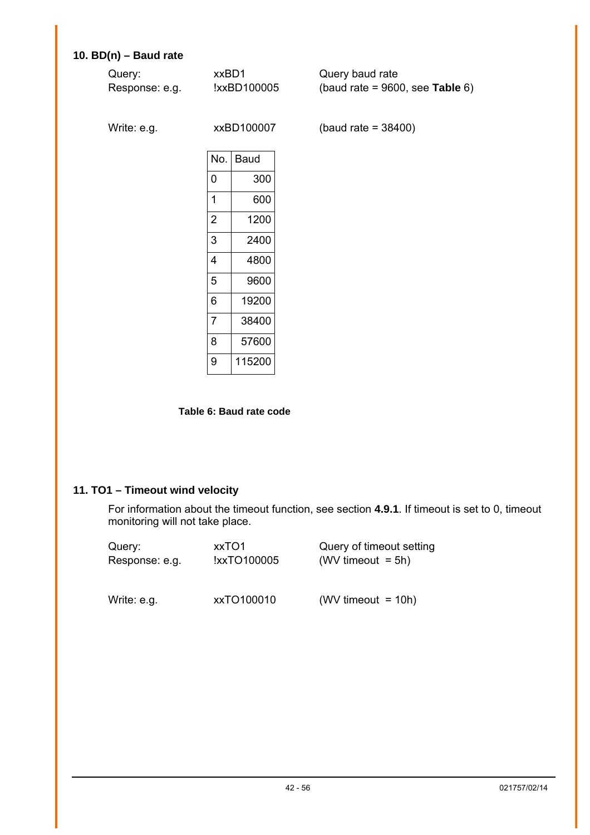## <span id="page-41-0"></span>**10. BD(n) – Baud rate**

| Query:<br>Response: e.g. | xxBD1          | !xxBD100005 | Query baud rate<br>(baud rate = $9600$ , see Table 6) |
|--------------------------|----------------|-------------|-------------------------------------------------------|
| Write: e.g.              |                | xxBD100007  | (baud rate = $38400$ )                                |
|                          | No.            | <b>Baud</b> |                                                       |
|                          | 0              | 300         |                                                       |
|                          | 1              | 600         |                                                       |
|                          | $\overline{2}$ | 1200        |                                                       |
|                          | 3              | 2400        |                                                       |
|                          | 4              | 4800        |                                                       |
|                          | 5              | 9600        |                                                       |
|                          | 6              | 19200       |                                                       |
|                          | $\overline{7}$ | 38400       |                                                       |
|                          | 8              | 57600       |                                                       |

<span id="page-41-1"></span>**Table 6: Baud rate code**

9 115200

#### **11. TO1 – Timeout wind velocity**

For information about the timeout function, see section **[4.9.1](#page-13-1)**. If timeout is set to 0, timeout monitoring will not take place.

| Query:         | xxTO1       | Query of timeout setting |
|----------------|-------------|--------------------------|
| Response: e.g. | !xxTO100005 | (WV timeout $= 5h$ )     |
| Write: e.g.    | xxTO100010  | (WV timeout $= 10h$ )    |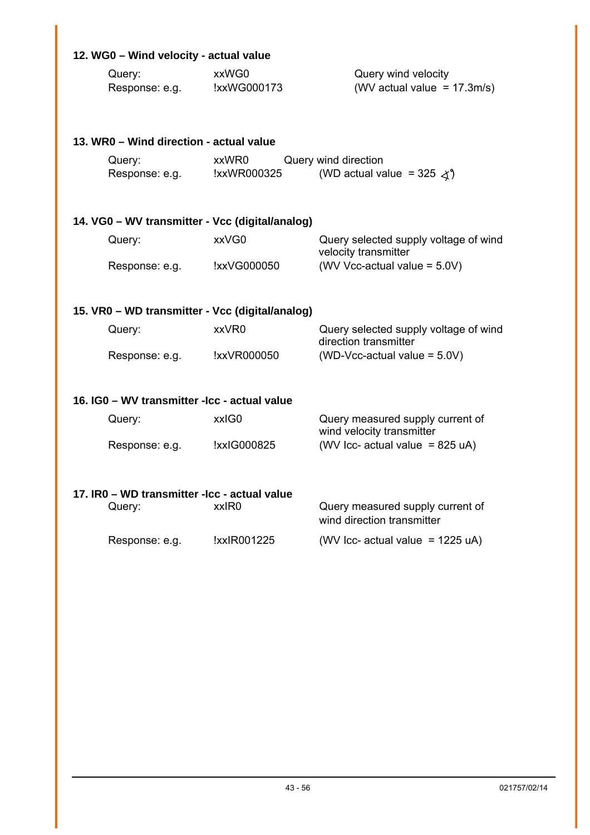## **12. WG0 – Wind velocity - actual value**

| Query:         | xxWG0       | Query wind velocity            |
|----------------|-------------|--------------------------------|
| Response: e.g. | !xxWG000173 | (WV actual value = $17.3m/s$ ) |

|                                               | 13. WR0 - Wind direction - actual value         |                      |                                                                   |  |  |
|-----------------------------------------------|-------------------------------------------------|----------------------|-------------------------------------------------------------------|--|--|
|                                               | Query:<br>Response: e.g.                        | xxWR0<br>!xxWR000325 | Query wind direction<br>(WD actual value = 325 $\measuredangle$ ) |  |  |
|                                               | 14. VG0 – WV transmitter - Vcc (digital/analog) |                      |                                                                   |  |  |
|                                               | Query:                                          | xxVG0                | Query selected supply voltage of wind<br>velocity transmitter     |  |  |
|                                               | Response: e.g.                                  | !xxVG000050          | (WV Vcc-actual value = 5.0V)                                      |  |  |
|                                               | 15. VR0 – WD transmitter - Vcc (digital/analog) |                      |                                                                   |  |  |
|                                               | Query:                                          | xxVR0                | Query selected supply voltage of wind<br>direction transmitter    |  |  |
|                                               | Response: e.g.                                  | !xxVR000050          | (WD-Vcc-actual value = $5.0V$ )                                   |  |  |
| 16. IG0 - WV transmitter - Icc - actual value |                                                 |                      |                                                                   |  |  |
|                                               | Query:                                          | xxIG0                | Query measured supply current of                                  |  |  |

|                |             | wind velocity transmitter                  |
|----------------|-------------|--------------------------------------------|
| Response: e.g. | !xxIG000825 | (WV Icc- actual value = $825 \text{ uA}$ ) |

| 17. IR0 – WD transmitter -lcc - actual value |             |                                                                |  |
|----------------------------------------------|-------------|----------------------------------------------------------------|--|
| Query:                                       | xxIR0       | Query measured supply current of<br>wind direction transmitter |  |
| Response: e.g.                               | !xxIR001225 | (WV Icc- actual value = $1225 uA$ )                            |  |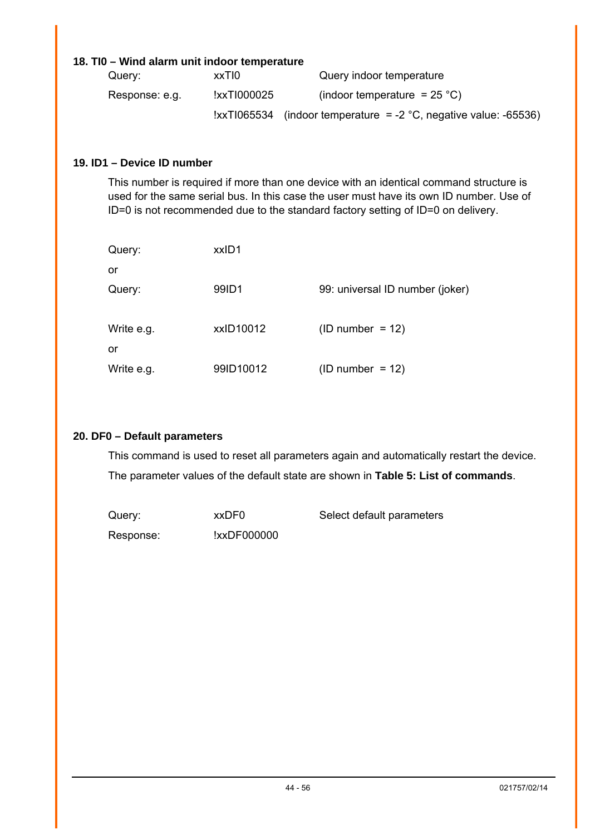#### **18. TI0 – Wind alarm unit indoor temperature**

| Query:         | xxTI0       | Query indoor temperature                                                  |
|----------------|-------------|---------------------------------------------------------------------------|
| Response: e.g. | !xxTI000025 | (indoor temperature = $25^{\circ}$ C)                                     |
|                |             | $\text{IxxT1065534}$ (indoor temperature = -2 °C, negative value: -65536) |

#### **19. ID1 – Device ID number**

This number is required if more than one device with an identical command structure is used for the same serial bus. In this case the user must have its own ID number. Use of ID=0 is not recommended due to the standard factory setting of ID=0 on delivery.

| Query:           | xxID1     |                                 |
|------------------|-----------|---------------------------------|
| or               |           |                                 |
| Query:           | 99ID1     | 99: universal ID number (joker) |
| Write e.g.<br>or | xxID10012 | $(ID number = 12)$              |
| Write e.g.       | 99ID10012 | $(ID number = 12)$              |

#### **20. DF0 – Default parameters**

This command is used to reset all parameters again and automatically restart the device. The parameter values of the default state are shown in **[Table 5: List of commands](#page-36-2)**.

| Query:    | xxDF0       | Select default parameters |
|-----------|-------------|---------------------------|
| Response: | !xxDF000000 |                           |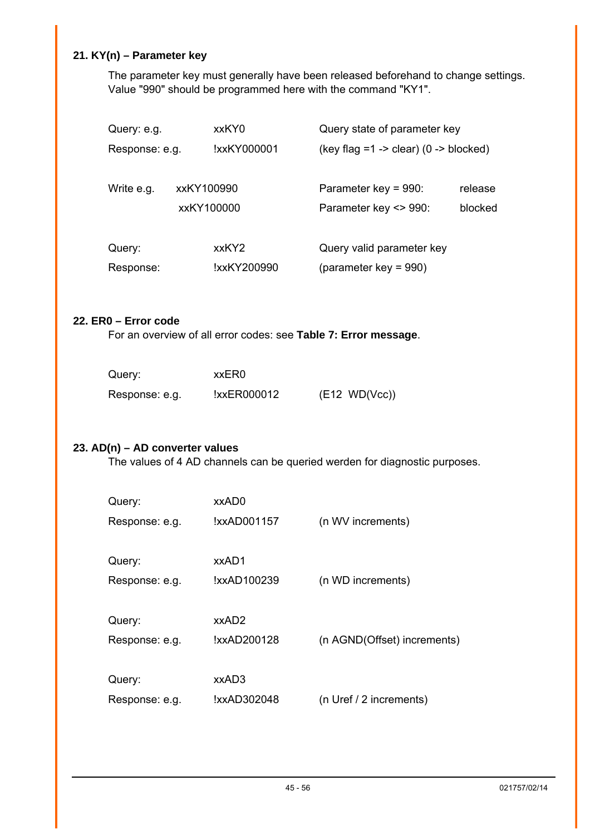## **21. KY(n) – Parameter key**

The parameter key must generally have been released beforehand to change settings. Value "990" should be programmed here with the command "KY1".

| Query: e.g.    |            | xxKY0       | Query state of parameter key               |         |
|----------------|------------|-------------|--------------------------------------------|---------|
| Response: e.g. |            | !xxKY000001 | (key flag = $1 -$ > clear) (0 - > blocked) |         |
|                |            |             |                                            |         |
| Write e.g.     | xxKY100990 |             | Parameter key = $990$ :                    | release |
|                |            | xxKY100000  | Parameter key <> 990:                      | blocked |
|                |            |             |                                            |         |
| Query:         |            | xxKY2       | Query valid parameter key                  |         |
| Response:      |            | !xxKY200990 | (parameter key = $990$ )                   |         |

#### **22. ER0 – Error code**

For an overview of all error codes: see **[Table 7: Error message](#page-45-2)**.

| Query:         | xxER0       |               |
|----------------|-------------|---------------|
| Response: e.g. | !xxER000012 | (E12 WD(Vcc)) |

#### **23. AD(n) – AD converter values**

The values of 4 AD channels can be queried werden for diagnostic purposes.

| Query:         | xxAD0       |                             |
|----------------|-------------|-----------------------------|
| Response: e.g. | !xxAD001157 | (n WV increments)           |
| Query:         | xxAD1       |                             |
| Response: e.g. | !xxAD100239 | (n WD increments)           |
| Query:         | xxAD2       |                             |
| Response: e.g. | !xxAD200128 | (n AGND(Offset) increments) |
|                | xxAD3       |                             |
| Query:         |             |                             |
| Response: e.g. | !xxAD302048 | (n Uref / 2 increments)     |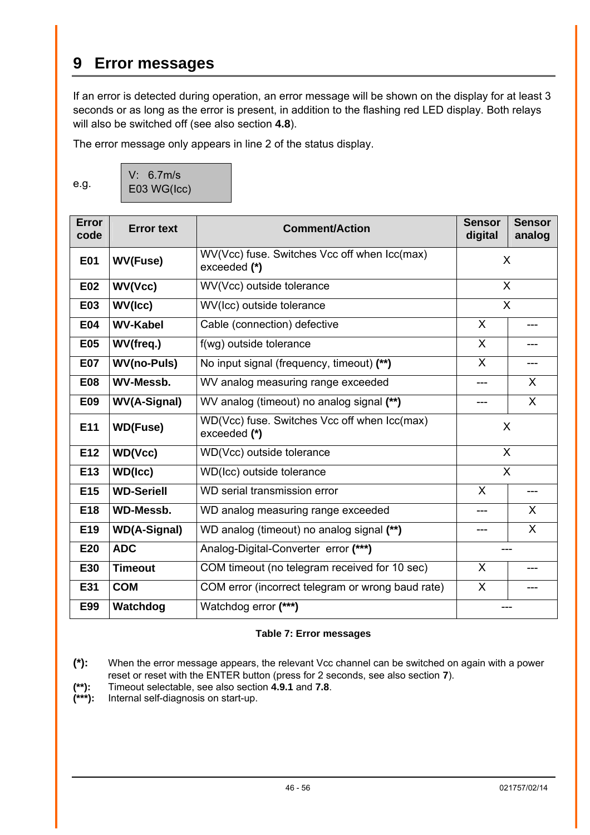## <span id="page-45-1"></span><span id="page-45-0"></span>**9 Error messages**

If an error is detected during operation, an error message will be shown on the display for at least 3 seconds or as long as the error is present, in addition to the flashing red LED display. Both relays will also be switched off (see also section **[4.8](#page-13-2)**).

The error message only appears in line 2 of the status display.

e.g.

| V: 6.7m/s   |  |
|-------------|--|
| E03 WG(Icc) |  |

| <b>Error</b><br>code | <b>Error text</b>   | <b>Comment/Action</b>                                        | <b>Sensor</b><br><b>Sensor</b><br>digital<br>analog |              |  |
|----------------------|---------------------|--------------------------------------------------------------|-----------------------------------------------------|--------------|--|
| <b>E01</b>           | <b>WV(Fuse)</b>     | WV(Vcc) fuse. Switches Vcc off when Icc(max)<br>exceeded (*) | X                                                   |              |  |
| <b>E02</b>           | WV(Vcc)             | WV(Vcc) outside tolerance                                    | X                                                   |              |  |
| <b>E03</b>           | WV(Icc)             | WV(Icc) outside tolerance                                    |                                                     | $\mathsf{X}$ |  |
| <b>E04</b>           | <b>WV-Kabel</b>     | Cable (connection) defective                                 | X                                                   |              |  |
| <b>E05</b>           | WV(freq.)           | f(wg) outside tolerance                                      | X<br>---                                            |              |  |
| <b>E07</b>           | <b>WV(no-Puls)</b>  | No input signal (frequency, timeout) (**)                    | X                                                   |              |  |
| <b>E08</b>           | <b>WV-Messb.</b>    | WV analog measuring range exceeded                           | X<br>---                                            |              |  |
| E09                  | <b>WV(A-Signal)</b> | WV analog (timeout) no analog signal (**)                    | $\mathsf{X}$                                        |              |  |
| E11                  | <b>WD(Fuse)</b>     | WD(Vcc) fuse. Switches Vcc off when Icc(max)<br>exceeded (*) | X                                                   |              |  |
| E <sub>12</sub>      | WD(Vcc)             | WD(Vcc) outside tolerance                                    | $\mathsf{X}$                                        |              |  |
| E <sub>13</sub>      | <b>WD(Icc)</b>      | WD(Icc) outside tolerance                                    | $\overline{\mathsf{x}}$                             |              |  |
| E15                  | <b>WD-Seriell</b>   | WD serial transmission error                                 | X                                                   |              |  |
| E18                  | <b>WD-Messb.</b>    | WD analog measuring range exceeded                           | $\mathsf{X}$                                        |              |  |
| E <sub>19</sub>      | <b>WD(A-Signal)</b> | WD analog (timeout) no analog signal (**)                    | X<br>$---$                                          |              |  |
| E20                  | <b>ADC</b>          | Analog-Digital-Converter error (***)                         |                                                     |              |  |
| E30                  | <b>Timeout</b>      | COM timeout (no telegram received for 10 sec)                | X                                                   |              |  |
| E31                  | <b>COM</b>          | COM error (incorrect telegram or wrong baud rate)            | X                                                   |              |  |
| E99                  | Watchdog            | Watchdog error (***)                                         |                                                     |              |  |

#### <span id="page-45-2"></span>**Table 7: Error messages**

**(\*):** When the error message appears, the relevant Vcc channel can be switched on again with a power reset or reset with the ENTER button (press for 2 seconds, see also section **[7](#page-23-1)**).

**(\*\*):** Timeout selectable, see also section **[4.9.1](#page-13-1)** and **[7.8](#page-29-1)**.

**(\*\*\*):** Internal self-diagnosis on start-up.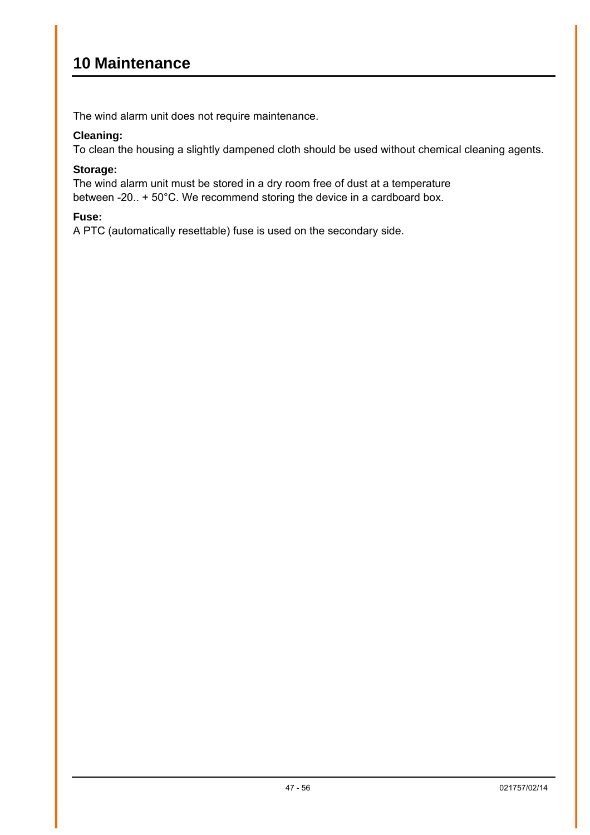## <span id="page-46-0"></span>**10 Maintenance**

The wind alarm unit does not require maintenance.

#### **Cleaning:**

To clean the housing a slightly dampened cloth should be used without chemical cleaning agents.

#### **Storage:**

The wind alarm unit must be stored in a dry room free of dust at a temperature between -20.. + 50°C. We recommend storing the device in a cardboard box.

#### **Fuse:**

A PTC (automatically resettable) fuse is used on the secondary side.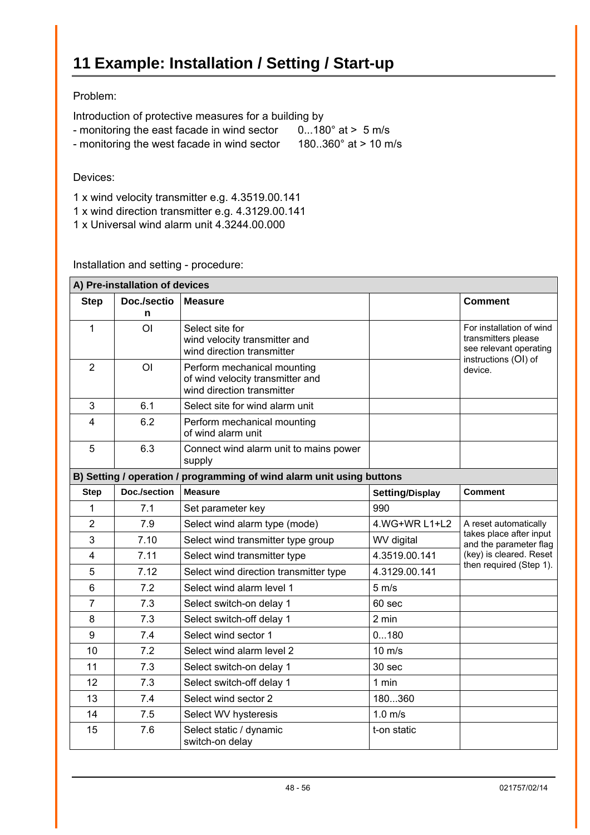#### <span id="page-47-0"></span>Problem:

Introduction of protective measures for a building by

- monitoring the east facade in wind sector 0...180° at > 5 m/s
- monitoring the west facade in wind sector 180..360° at > 10 m/s

#### Devices:

1 x wind velocity transmitter e.g. 4.3519.00.141

- 1 x wind direction transmitter e.g. 4.3129.00.141
- 1 x Universal wind alarm unit 4.3244.00.000

Installation and setting - procedure:

| A) Pre-installation of devices                                        |                  |                                                                                               |                        |                                                                                                   |  |  |
|-----------------------------------------------------------------------|------------------|-----------------------------------------------------------------------------------------------|------------------------|---------------------------------------------------------------------------------------------------|--|--|
| <b>Step</b>                                                           | Doc./sectio<br>n | <b>Measure</b>                                                                                |                        | <b>Comment</b>                                                                                    |  |  |
| 1                                                                     | <b>OI</b>        | Select site for<br>wind velocity transmitter and<br>wind direction transmitter                |                        | For installation of wind<br>transmitters please<br>see relevant operating<br>instructions (OI) of |  |  |
| $\overline{2}$                                                        | O <sub>l</sub>   | Perform mechanical mounting<br>of wind velocity transmitter and<br>wind direction transmitter |                        | device.                                                                                           |  |  |
| 3                                                                     | 6.1              | Select site for wind alarm unit                                                               |                        |                                                                                                   |  |  |
| 4                                                                     | 6.2              | Perform mechanical mounting<br>of wind alarm unit                                             |                        |                                                                                                   |  |  |
| 5                                                                     | 6.3              | Connect wind alarm unit to mains power<br>supply                                              |                        |                                                                                                   |  |  |
| B) Setting / operation / programming of wind alarm unit using buttons |                  |                                                                                               |                        |                                                                                                   |  |  |
| <b>Step</b>                                                           | Doc./section     | <b>Measure</b>                                                                                | <b>Setting/Display</b> | <b>Comment</b>                                                                                    |  |  |
| 1                                                                     | 7.1              | Set parameter key                                                                             | 990                    |                                                                                                   |  |  |
| $\overline{2}$                                                        | 7.9              | Select wind alarm type (mode)                                                                 | 4. WG+WR L1+L2         | A reset automatically                                                                             |  |  |
| 3                                                                     | 7.10             | Select wind transmitter type group                                                            | WV digital             | takes place after input<br>and the parameter flag                                                 |  |  |
| $\overline{4}$                                                        | 7.11             | Select wind transmitter type                                                                  | 4.3519.00.141          | (key) is cleared. Reset                                                                           |  |  |
| 5                                                                     | 7.12             | Select wind direction transmitter type                                                        | 4.3129.00.141          | then required (Step 1).                                                                           |  |  |
| 6                                                                     | 7.2              | Select wind alarm level 1                                                                     | $5 \text{ m/s}$        |                                                                                                   |  |  |
| $\overline{7}$                                                        | 7.3              | Select switch-on delay 1                                                                      | 60 sec                 |                                                                                                   |  |  |
| 8                                                                     | 7.3              | Select switch-off delay 1                                                                     | 2 min                  |                                                                                                   |  |  |
| 9                                                                     | 7.4              | Select wind sector 1                                                                          | 0180                   |                                                                                                   |  |  |
| 10                                                                    | 7.2              | Select wind alarm level 2                                                                     | $10 \text{ m/s}$       |                                                                                                   |  |  |
| 11                                                                    | 7.3              | Select switch-on delay 1                                                                      | 30 sec                 |                                                                                                   |  |  |
| 12                                                                    | 7.3              | Select switch-off delay 1                                                                     | 1 min                  |                                                                                                   |  |  |
| 13                                                                    | 7.4              | Select wind sector 2                                                                          | 180360                 |                                                                                                   |  |  |
| 14                                                                    | 7.5              | Select WV hysteresis                                                                          | $1.0$ m/s              |                                                                                                   |  |  |
| 15                                                                    | 7.6              | Select static / dynamic<br>switch-on delay                                                    | t-on static            |                                                                                                   |  |  |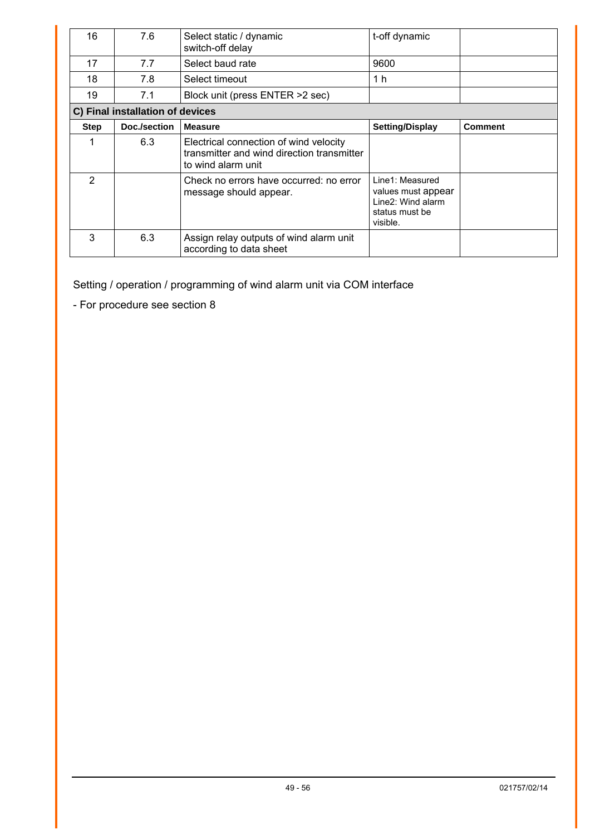| 16            | 7.6                              | Select static / dynamic<br>switch-off delay                                                                | t-off dynamic                                                                            |                |
|---------------|----------------------------------|------------------------------------------------------------------------------------------------------------|------------------------------------------------------------------------------------------|----------------|
| 17            | 7.7                              | Select baud rate                                                                                           | 9600                                                                                     |                |
| 18            | 7.8                              | Select timeout                                                                                             | 1 h                                                                                      |                |
| 19            | 7.1                              | Block unit (press ENTER > 2 sec)                                                                           |                                                                                          |                |
|               | C) Final installation of devices |                                                                                                            |                                                                                          |                |
| <b>Step</b>   | Doc./section                     | <b>Measure</b>                                                                                             | <b>Setting/Display</b>                                                                   | <b>Comment</b> |
| 1             | 6.3                              | Electrical connection of wind velocity<br>transmitter and wind direction transmitter<br>to wind alarm unit |                                                                                          |                |
| $\mathcal{P}$ |                                  | Check no errors have occurred: no error<br>message should appear.                                          | Line1: Measured<br>values must appear<br>Line2: Wind alarm<br>status must be<br>visible. |                |
| 3             | 6.3                              | Assign relay outputs of wind alarm unit<br>according to data sheet                                         |                                                                                          |                |

Setting / operation / programming of wind alarm unit via COM interface

- For procedure see section 8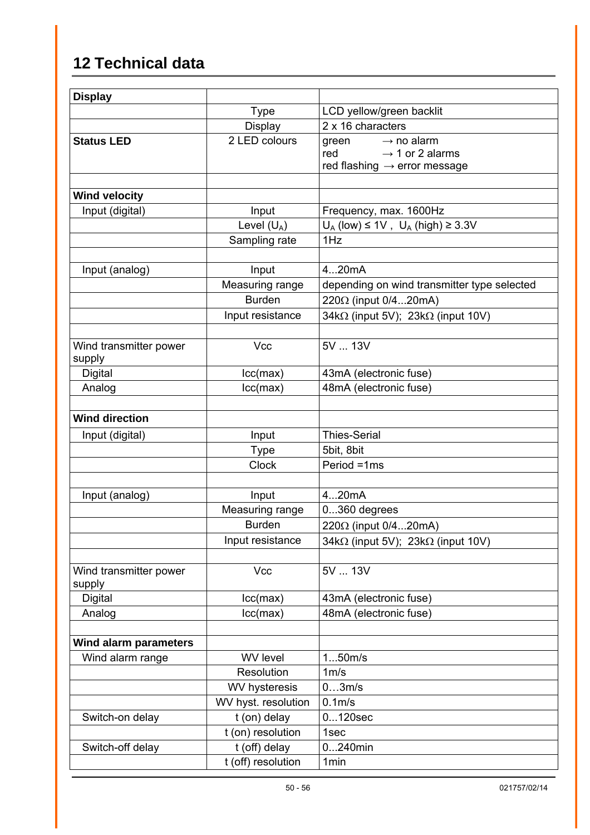# <span id="page-49-1"></span><span id="page-49-0"></span>**12 Technical data**

| <b>Display</b>                   |                     |                                                                                                                   |
|----------------------------------|---------------------|-------------------------------------------------------------------------------------------------------------------|
|                                  | <b>Type</b>         | LCD yellow/green backlit                                                                                          |
|                                  | <b>Display</b>      | 2 x 16 characters                                                                                                 |
| <b>Status LED</b>                | 2 LED colours       | $\rightarrow$ no alarm<br>green<br>$\rightarrow$ 1 or 2 alarms<br>red<br>red flashing $\rightarrow$ error message |
| <b>Wind velocity</b>             |                     |                                                                                                                   |
| Input (digital)                  | Input               | Frequency, max. 1600Hz                                                                                            |
|                                  | Level $(U_A)$       | $U_A$ (low) $\leq 1V$ , $U_A$ (high) $\geq 3.3V$                                                                  |
|                                  | Sampling rate       | 1Hz                                                                                                               |
|                                  |                     |                                                                                                                   |
| Input (analog)                   | Input               | 420mA                                                                                                             |
|                                  | Measuring range     | depending on wind transmitter type selected                                                                       |
|                                  | <b>Burden</b>       | 220 $\Omega$ (input 0/420mA)                                                                                      |
|                                  | Input resistance    | 34kΩ (input 5V); 23kΩ (input 10V)                                                                                 |
|                                  |                     |                                                                                                                   |
| Wind transmitter power<br>supply | Vcc                 | 5V  13V                                                                                                           |
| Digital                          | lcc(max)            | 43mA (electronic fuse)                                                                                            |
| Analog                           | lcc(max)            | 48mA (electronic fuse)                                                                                            |
| <b>Wind direction</b>            |                     |                                                                                                                   |
| Input (digital)                  | Input               | <b>Thies-Serial</b>                                                                                               |
|                                  | <b>Type</b>         | 5bit, 8bit                                                                                                        |
|                                  | <b>Clock</b>        | Period =1ms                                                                                                       |
| Input (analog)                   | Input               | 420mA                                                                                                             |
|                                  | Measuring range     | 0360 degrees                                                                                                      |
|                                  | <b>Burden</b>       | 220Ω (input 0/420mA)                                                                                              |
|                                  | Input resistance    | 34k $\Omega$ (input 5V); 23k $\Omega$ (input 10V)                                                                 |
|                                  |                     |                                                                                                                   |
| Wind transmitter power<br>supply | Vcc                 | 5V  13V                                                                                                           |
| <b>Digital</b>                   | lcc(max)            | 43mA (electronic fuse)                                                                                            |
| Analog                           | lcc(max)            | 48mA (electronic fuse)                                                                                            |
| Wind alarm parameters            |                     |                                                                                                                   |
| Wind alarm range                 | <b>WV</b> level     | 150m/s                                                                                                            |
|                                  | Resolution          | 1m/s                                                                                                              |
|                                  | WV hysteresis       | 03m/s                                                                                                             |
|                                  | WV hyst. resolution | $0.1m$ /s                                                                                                         |
| Switch-on delay                  | t (on) delay        | $0120$ sec                                                                                                        |
|                                  | t (on) resolution   | 1sec                                                                                                              |
| Switch-off delay                 | t (off) delay       | $0240$ min                                                                                                        |
|                                  | t (off) resolution  | 1 <sub>min</sub>                                                                                                  |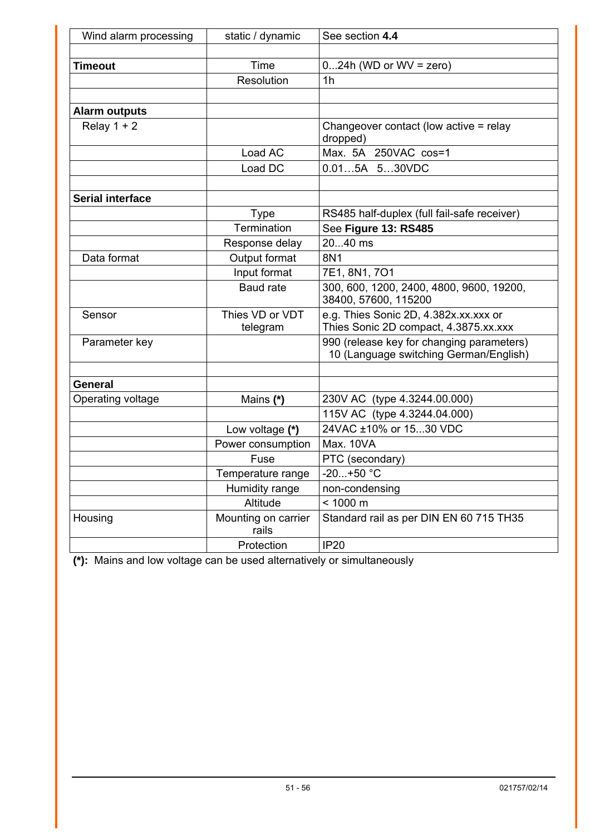| Wind alarm processing   | static / dynamic             | See section 4.4                                                                     |  |
|-------------------------|------------------------------|-------------------------------------------------------------------------------------|--|
|                         |                              |                                                                                     |  |
| <b>Timeout</b>          | Time                         | $024h$ (WD or WV = zero)                                                            |  |
|                         | Resolution                   | 1 <sub>h</sub>                                                                      |  |
|                         |                              |                                                                                     |  |
| <b>Alarm outputs</b>    |                              |                                                                                     |  |
| Relay $1 + 2$           |                              | Changeover contact (low active = relay<br>dropped)                                  |  |
|                         | Load AC                      | Max. 5A 250VAC cos=1                                                                |  |
|                         | Load DC                      | 0.015A 530VDC                                                                       |  |
|                         |                              |                                                                                     |  |
| <b>Serial interface</b> |                              |                                                                                     |  |
|                         | <b>Type</b>                  | RS485 half-duplex (full fail-safe receiver)                                         |  |
|                         | Termination                  | See Figure 13: RS485                                                                |  |
|                         | Response delay               | 2040 ms                                                                             |  |
| Data format             | Output format                | 8N1                                                                                 |  |
|                         | Input format                 | 7E1, 8N1, 7O1                                                                       |  |
|                         | <b>Baud rate</b>             | 300, 600, 1200, 2400, 4800, 9600, 19200,<br>38400, 57600, 115200                    |  |
| Sensor                  | Thies VD or VDT<br>telegram  | e.g. Thies Sonic 2D, 4.382x.xx.xxx or<br>Thies Sonic 2D compact, 4.3875.xx.xxx      |  |
| Parameter key           |                              | 990 (release key for changing parameters)<br>10 (Language switching German/English) |  |
| General                 |                              |                                                                                     |  |
| Operating voltage       | Mains (*)                    | 230V AC (type 4.3244.00.000)                                                        |  |
|                         |                              | 115V AC (type 4.3244.04.000)                                                        |  |
|                         | Low voltage (*)              | 24VAC ±10% or 1530 VDC                                                              |  |
|                         | Power consumption            | <b>Max. 10VA</b>                                                                    |  |
|                         | Fuse                         | PTC (secondary)                                                                     |  |
|                         | Temperature range            | $-20+50 °C$                                                                         |  |
|                         | Humidity range               | non-condensing                                                                      |  |
|                         | Altitude                     | < 1000 m                                                                            |  |
| Housing                 | Mounting on carrier<br>rails | Standard rail as per DIN EN 60 715 TH35                                             |  |
|                         | Protection                   | <b>IP20</b>                                                                         |  |

**(\*):** Mains and low voltage can be used alternatively or simultaneously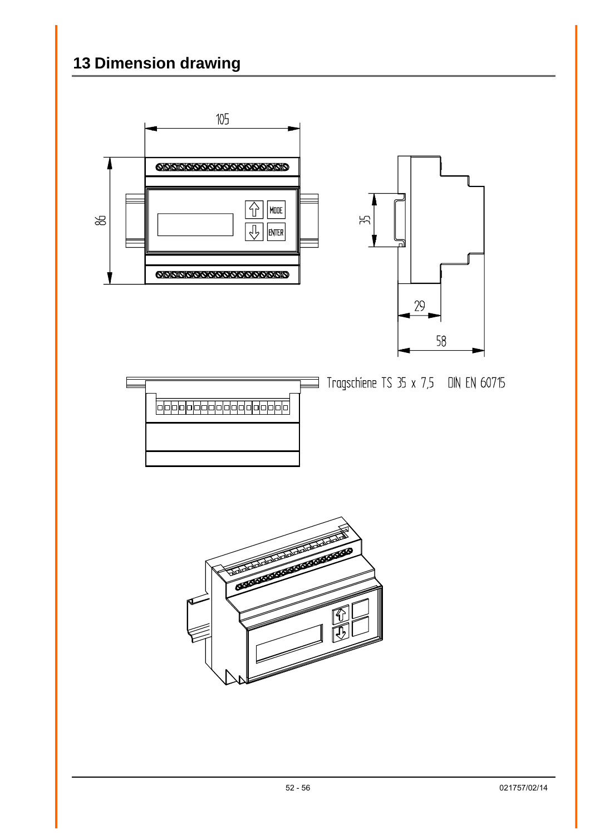# <span id="page-51-0"></span>**13 Dimension drawing**

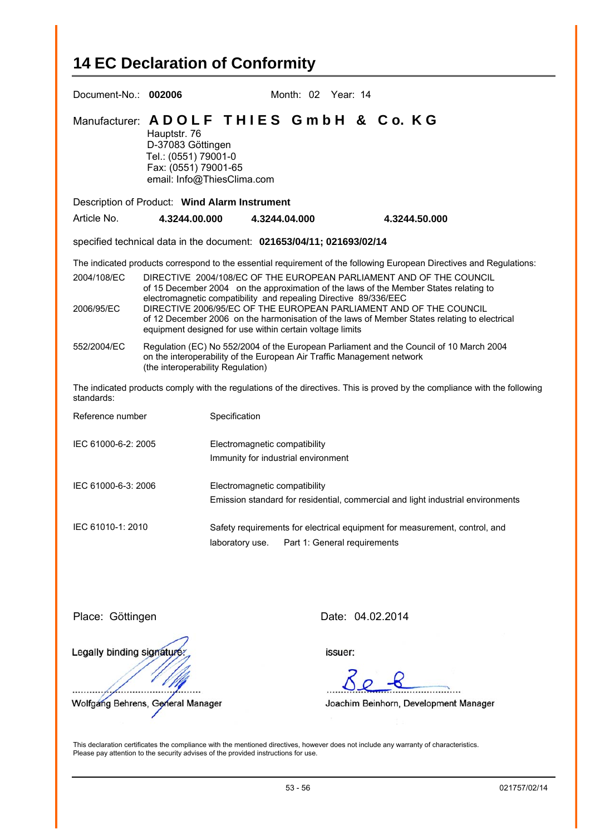# <span id="page-52-0"></span>**14 EC Declaration of Conformity**

| Document-No.: 002006                                                                                                                                                                                                                                                                                                                                                                                                                                                                                                                                                                                                                                                                                                                                                                                                                                                                                                                                                                        |                                                                                   |                                                                       | Month: 02 Year: 14 |  |               |  |
|---------------------------------------------------------------------------------------------------------------------------------------------------------------------------------------------------------------------------------------------------------------------------------------------------------------------------------------------------------------------------------------------------------------------------------------------------------------------------------------------------------------------------------------------------------------------------------------------------------------------------------------------------------------------------------------------------------------------------------------------------------------------------------------------------------------------------------------------------------------------------------------------------------------------------------------------------------------------------------------------|-----------------------------------------------------------------------------------|-----------------------------------------------------------------------|--------------------|--|---------------|--|
|                                                                                                                                                                                                                                                                                                                                                                                                                                                                                                                                                                                                                                                                                                                                                                                                                                                                                                                                                                                             | Hauptstr. 76<br>D-37083 Göttingen<br>Tel.: (0551) 79001-0<br>Fax: (0551) 79001-65 | Manufacturer: ADOLF THIES GmbH & Co. KG<br>email: Info@ThiesClima.com |                    |  |               |  |
|                                                                                                                                                                                                                                                                                                                                                                                                                                                                                                                                                                                                                                                                                                                                                                                                                                                                                                                                                                                             |                                                                                   | Description of Product: Wind Alarm Instrument                         |                    |  |               |  |
| Article No.                                                                                                                                                                                                                                                                                                                                                                                                                                                                                                                                                                                                                                                                                                                                                                                                                                                                                                                                                                                 | 4.3244.00.000                                                                     | 4.3244.04.000                                                         |                    |  | 4.3244.50.000 |  |
|                                                                                                                                                                                                                                                                                                                                                                                                                                                                                                                                                                                                                                                                                                                                                                                                                                                                                                                                                                                             |                                                                                   | specified technical data in the document: 021653/04/11; 021693/02/14  |                    |  |               |  |
| The indicated products correspond to the essential requirement of the following European Directives and Regulations:<br>2004/108/EC<br>DIRECTIVE 2004/108/EC OF THE EUROPEAN PARLIAMENT AND OF THE COUNCIL<br>of 15 December 2004 on the approximation of the laws of the Member States relating to<br>electromagnetic compatibility and repealing Directive 89/336/EEC<br>DIRECTIVE 2006/95/EC OF THE EUROPEAN PARLIAMENT AND OF THE COUNCIL<br>2006/95/EC<br>of 12 December 2006 on the harmonisation of the laws of Member States relating to electrical<br>equipment designed for use within certain voltage limits<br>Regulation (EC) No 552/2004 of the European Parliament and the Council of 10 March 2004<br>552/2004/EC<br>on the interoperability of the European Air Traffic Management network<br>(the interoperability Regulation)<br>The indicated products comply with the regulations of the directives. This is proved by the compliance with the following<br>standards: |                                                                                   |                                                                       |                    |  |               |  |
| Specification<br>Reference number                                                                                                                                                                                                                                                                                                                                                                                                                                                                                                                                                                                                                                                                                                                                                                                                                                                                                                                                                           |                                                                                   |                                                                       |                    |  |               |  |
| IEC 61000-6-2: 2005<br>Electromagnetic compatibility<br>Immunity for industrial environment                                                                                                                                                                                                                                                                                                                                                                                                                                                                                                                                                                                                                                                                                                                                                                                                                                                                                                 |                                                                                   |                                                                       |                    |  |               |  |
| IEC 61000-6-3: 2006<br>Electromagnetic compatibility<br>Emission standard for residential, commercial and light industrial environments                                                                                                                                                                                                                                                                                                                                                                                                                                                                                                                                                                                                                                                                                                                                                                                                                                                     |                                                                                   |                                                                       |                    |  |               |  |
| IEC 61010-1: 2010<br>Safety requirements for electrical equipment for measurement, control, and<br>Part 1: General requirements<br>laboratory use.                                                                                                                                                                                                                                                                                                                                                                                                                                                                                                                                                                                                                                                                                                                                                                                                                                          |                                                                                   |                                                                       |                    |  |               |  |
|                                                                                                                                                                                                                                                                                                                                                                                                                                                                                                                                                                                                                                                                                                                                                                                                                                                                                                                                                                                             | Date: 04.02.2014<br>Place: Göttingen                                              |                                                                       |                    |  |               |  |

Legally binding signature

. . . . . . . . . . . . . . . . . . Wolfgang Behrens, General Manager

issuer:

. . . . . . . . . . . . . . . . .

Joachim Beinhorn, Development Manager

This declaration certificates the compliance with the mentioned directives, however does not include any warranty of characteristics. Please pay attention to the security advises of the provided instructions for use.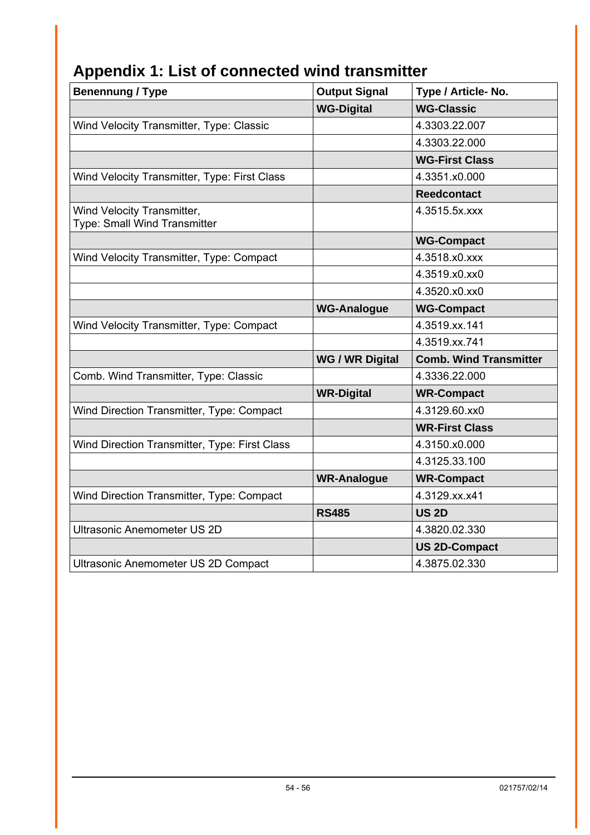| <b>Benennung / Type</b>                                    | <b>Output Signal</b>   | Type / Article- No.           |
|------------------------------------------------------------|------------------------|-------------------------------|
|                                                            | <b>WG-Digital</b>      | <b>WG-Classic</b>             |
| Wind Velocity Transmitter, Type: Classic                   |                        | 4.3303.22.007                 |
|                                                            |                        | 4.3303.22.000                 |
|                                                            |                        | <b>WG-First Class</b>         |
| Wind Velocity Transmitter, Type: First Class               |                        | 4.3351.x0.000                 |
|                                                            |                        | <b>Reedcontact</b>            |
| Wind Velocity Transmitter,<br>Type: Small Wind Transmitter |                        | 4.3515.5x.xxx                 |
|                                                            |                        | <b>WG-Compact</b>             |
| Wind Velocity Transmitter, Type: Compact                   |                        | 4.3518.x0.xxx                 |
|                                                            |                        | 4.3519.x0.xx0                 |
|                                                            |                        | 4.3520.x0.xx0                 |
|                                                            | <b>WG-Analogue</b>     | <b>WG-Compact</b>             |
| Wind Velocity Transmitter, Type: Compact                   |                        | 4.3519.xx.141                 |
|                                                            |                        | 4.3519.xx.741                 |
|                                                            | <b>WG / WR Digital</b> | <b>Comb. Wind Transmitter</b> |
| Comb. Wind Transmitter, Type: Classic                      |                        | 4.3336.22.000                 |
|                                                            | <b>WR-Digital</b>      | <b>WR-Compact</b>             |
| Wind Direction Transmitter, Type: Compact                  |                        | 4.3129.60.xx0                 |
|                                                            |                        | <b>WR-First Class</b>         |
| Wind Direction Transmitter, Type: First Class              |                        | 4.3150.x0.000                 |
|                                                            |                        | 4.3125.33.100                 |
|                                                            | <b>WR-Analogue</b>     | <b>WR-Compact</b>             |
| Wind Direction Transmitter, Type: Compact                  |                        | 4.3129.xx.x41                 |
|                                                            | <b>RS485</b>           | <b>US 2D</b>                  |
| <b>Ultrasonic Anemometer US 2D</b>                         |                        | 4.3820.02.330                 |
|                                                            |                        | <b>US 2D-Compact</b>          |
| Ultrasonic Anemometer US 2D Compact                        |                        | 4.3875.02.330                 |

# <span id="page-53-0"></span>**Appendix 1: List of connected wind transmitter**